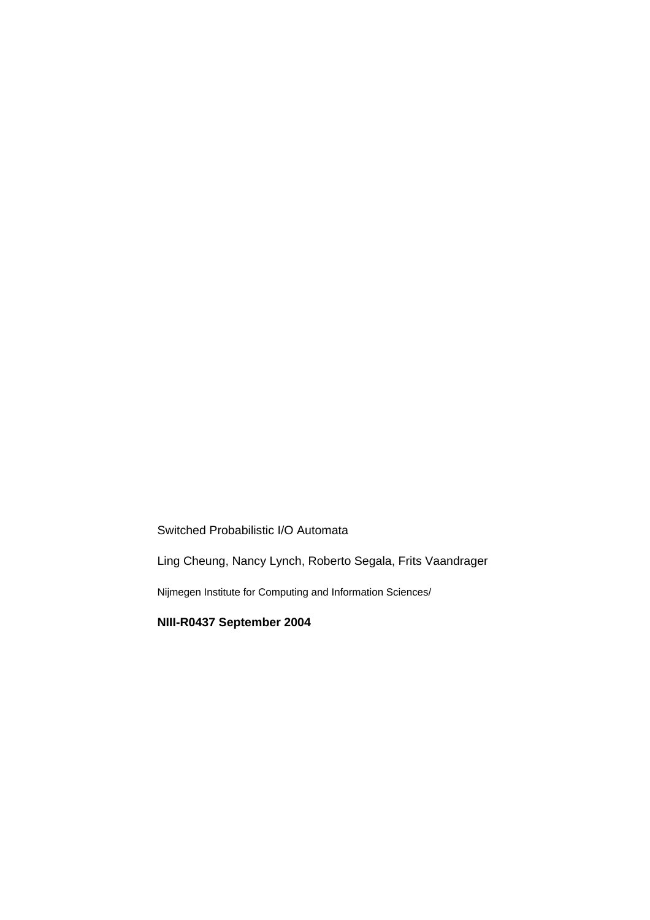Switched Probabilistic I/O Automata

Ling Cheung, Nancy Lynch, Roberto Segala, Frits Vaandrager

Nijmegen Institute for Computing and Information Sciences/

**NIII-R0437 September 2004**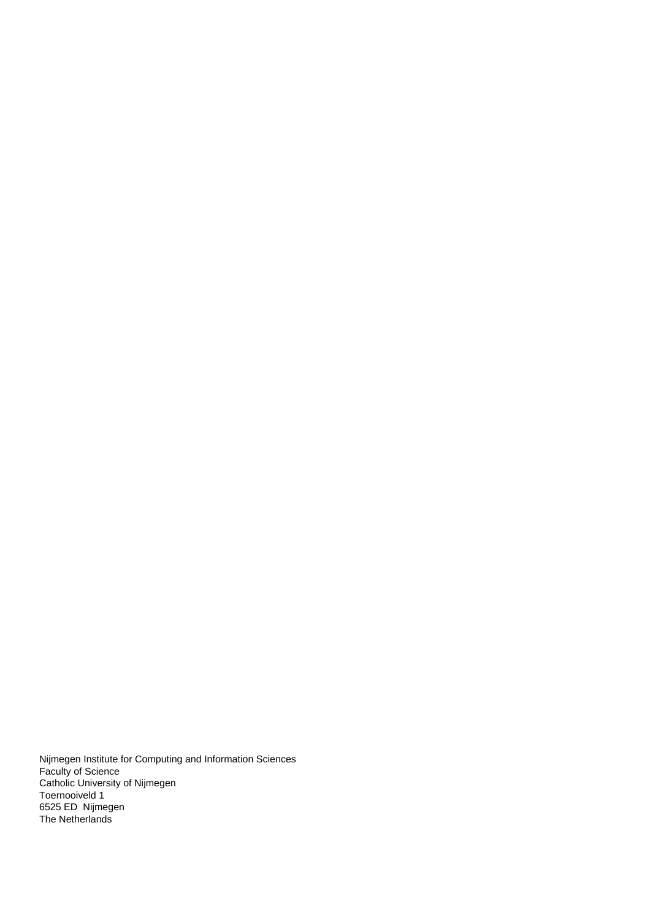Nijmegen Institute for Computing and Information Sciences Faculty of Science Catholic University of Nijmegen Toernooiveld 1 6525 ED Nijmegen The Netherlands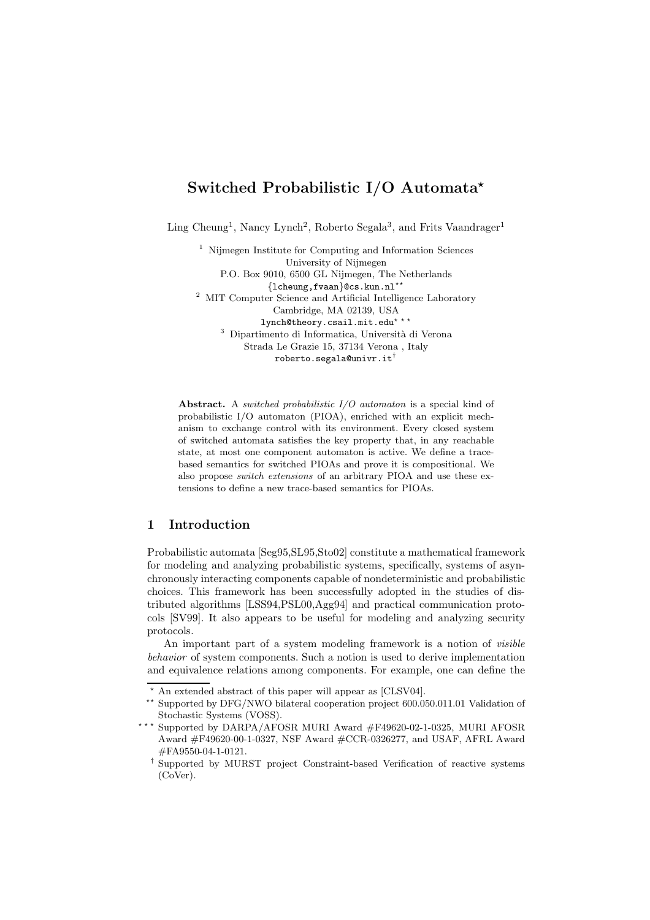# Switched Probabilistic I/O Automata<sup>\*</sup>

Ling Cheung<sup>1</sup>, Nancy Lynch<sup>2</sup>, Roberto Segala<sup>3</sup>, and Frits Vaandrager<sup>1</sup>

<sup>1</sup> Nijmegen Institute for Computing and Information Sciences University of Nijmegen P.O. Box 9010, 6500 GL Nijmegen, The Netherlands  ${lcheung,fvaan}$ @cs.kun.nl<sup>\*\*</sup> <sup>2</sup> MIT Computer Science and Artificial Intelligence Laboratory Cambridge, MA 02139, USA  $\label{lem:unchm:1} \texttt{lynch@theory}.\texttt{csail.mit.} \texttt{edu*} \star \star$  $^3$  Dipartimento di Informatica, Università di Verona Strada Le Grazie 15, 37134 Verona , Italy roberto.segala@univr.it†

Abstract. A switched probabilistic I/O automaton is a special kind of probabilistic I/O automaton (PIOA), enriched with an explicit mechanism to exchange control with its environment. Every closed system of switched automata satisfies the key property that, in any reachable state, at most one component automaton is active. We define a tracebased semantics for switched PIOAs and prove it is compositional. We also propose switch extensions of an arbitrary PIOA and use these extensions to define a new trace-based semantics for PIOAs.

## 1 Introduction

Probabilistic automata [Seg95,SL95,Sto02] constitute a mathematical framework for modeling and analyzing probabilistic systems, specifically, systems of asynchronously interacting components capable of nondeterministic and probabilistic choices. This framework has been successfully adopted in the studies of distributed algorithms [LSS94,PSL00,Agg94] and practical communication protocols [SV99]. It also appears to be useful for modeling and analyzing security protocols.

An important part of a system modeling framework is a notion of visible behavior of system components. Such a notion is used to derive implementation and equivalence relations among components. For example, one can define the

 $\star$  An extended abstract of this paper will appear as [CLSV04].

<sup>&</sup>lt;sup>\*\*</sup> Supported by DFG/NWO bilateral cooperation project 600.050.011.01 Validation of Stochastic Systems (VOSS).

<sup>\*\*\*</sup> Supported by DARPA/AFOSR MURI Award #F49620-02-1-0325, MURI AFOSR Award #F49620-00-1-0327, NSF Award #CCR-0326277, and USAF, AFRL Award #FA9550-04-1-0121.

<sup>†</sup> Supported by MURST project Constraint-based Verification of reactive systems (CoVer).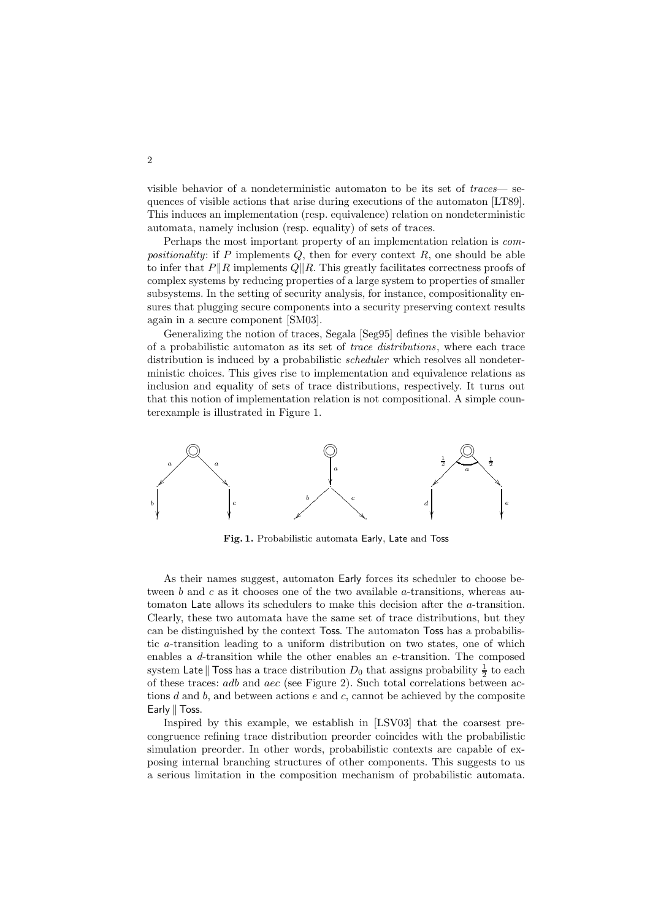visible behavior of a nondeterministic automaton to be its set of traces— sequences of visible actions that arise during executions of the automaton [LT89]. This induces an implementation (resp. equivalence) relation on nondeterministic automata, namely inclusion (resp. equality) of sets of traces.

Perhaps the most important property of an implementation relation is compositionality: if P implements Q, then for every context  $R$ , one should be able to infer that  $P||R$  implements  $Q||R$ . This greatly facilitates correctness proofs of complex systems by reducing properties of a large system to properties of smaller subsystems. In the setting of security analysis, for instance, compositionality ensures that plugging secure components into a security preserving context results again in a secure component [SM03].

Generalizing the notion of traces, Segala [Seg95] defines the visible behavior of a probabilistic automaton as its set of trace distributions, where each trace distribution is induced by a probabilistic *scheduler* which resolves all nondeterministic choices. This gives rise to implementation and equivalence relations as inclusion and equality of sets of trace distributions, respectively. It turns out that this notion of implementation relation is not compositional. A simple counterexample is illustrated in Figure 1.



Fig. 1. Probabilistic automata Early, Late and Toss

As their names suggest, automaton Early forces its scheduler to choose between b and c as it chooses one of the two available a-transitions, whereas automaton Late allows its schedulers to make this decision after the a-transition. Clearly, these two automata have the same set of trace distributions, but they can be distinguished by the context Toss. The automaton Toss has a probabilistic a-transition leading to a uniform distribution on two states, one of which enables a d-transition while the other enables an e-transition. The composed system Late  $\parallel$  Toss has a trace distribution  $D_0$  that assigns probability  $\frac{1}{2}$  to each of these traces: adb and aec (see Figure 2). Such total correlations between actions  $d$  and  $b$ , and between actions  $e$  and  $c$ , cannot be achieved by the composite Early  $\parallel$  Toss.

Inspired by this example, we establish in [LSV03] that the coarsest precongruence refining trace distribution preorder coincides with the probabilistic simulation preorder. In other words, probabilistic contexts are capable of exposing internal branching structures of other components. This suggests to us a serious limitation in the composition mechanism of probabilistic automata.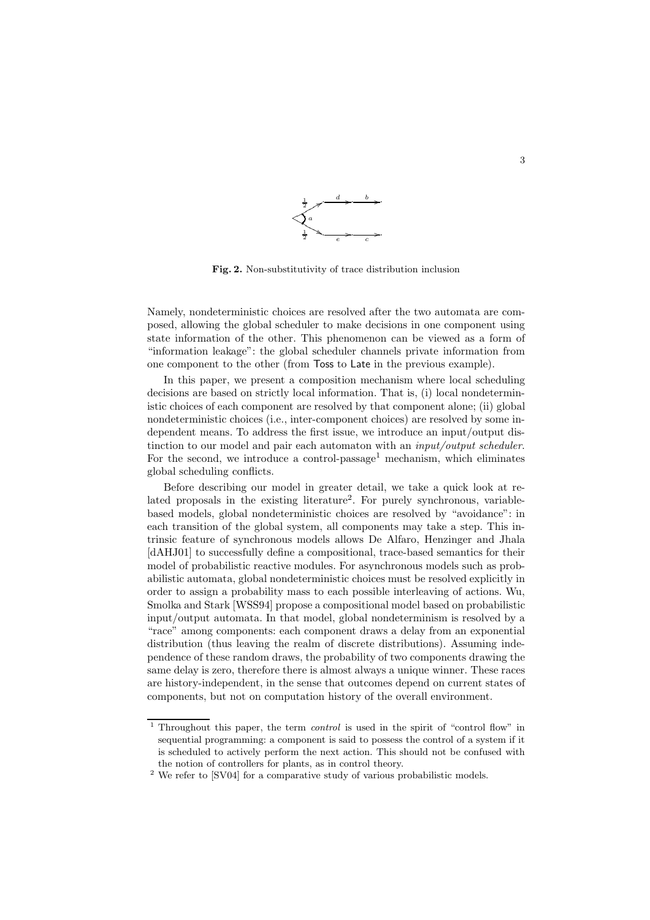

Fig. 2. Non-substitutivity of trace distribution inclusion

Namely, nondeterministic choices are resolved after the two automata are composed, allowing the global scheduler to make decisions in one component using state information of the other. This phenomenon can be viewed as a form of "information leakage": the global scheduler channels private information from one component to the other (from Toss to Late in the previous example).

In this paper, we present a composition mechanism where local scheduling decisions are based on strictly local information. That is, (i) local nondeterministic choices of each component are resolved by that component alone; (ii) global nondeterministic choices (i.e., inter-component choices) are resolved by some independent means. To address the first issue, we introduce an input/output distinction to our model and pair each automaton with an *input/output scheduler*. For the second, we introduce a control-passage<sup>1</sup> mechanism, which eliminates global scheduling conflicts.

Before describing our model in greater detail, we take a quick look at related proposals in the existing literature<sup>2</sup>. For purely synchronous, variablebased models, global nondeterministic choices are resolved by "avoidance": in each transition of the global system, all components may take a step. This intrinsic feature of synchronous models allows De Alfaro, Henzinger and Jhala [dAHJ01] to successfully define a compositional, trace-based semantics for their model of probabilistic reactive modules. For asynchronous models such as probabilistic automata, global nondeterministic choices must be resolved explicitly in order to assign a probability mass to each possible interleaving of actions. Wu, Smolka and Stark [WSS94] propose a compositional model based on probabilistic input/output automata. In that model, global nondeterminism is resolved by a "race" among components: each component draws a delay from an exponential distribution (thus leaving the realm of discrete distributions). Assuming independence of these random draws, the probability of two components drawing the same delay is zero, therefore there is almost always a unique winner. These races are history-independent, in the sense that outcomes depend on current states of components, but not on computation history of the overall environment.

<sup>&</sup>lt;sup>1</sup> Throughout this paper, the term *control* is used in the spirit of "control flow" in sequential programming: a component is said to possess the control of a system if it is scheduled to actively perform the next action. This should not be confused with the notion of controllers for plants, as in control theory.

 $^2$  We refer to  $\left[ \text{SVO4} \right]$  for a comparative study of various probabilistic models.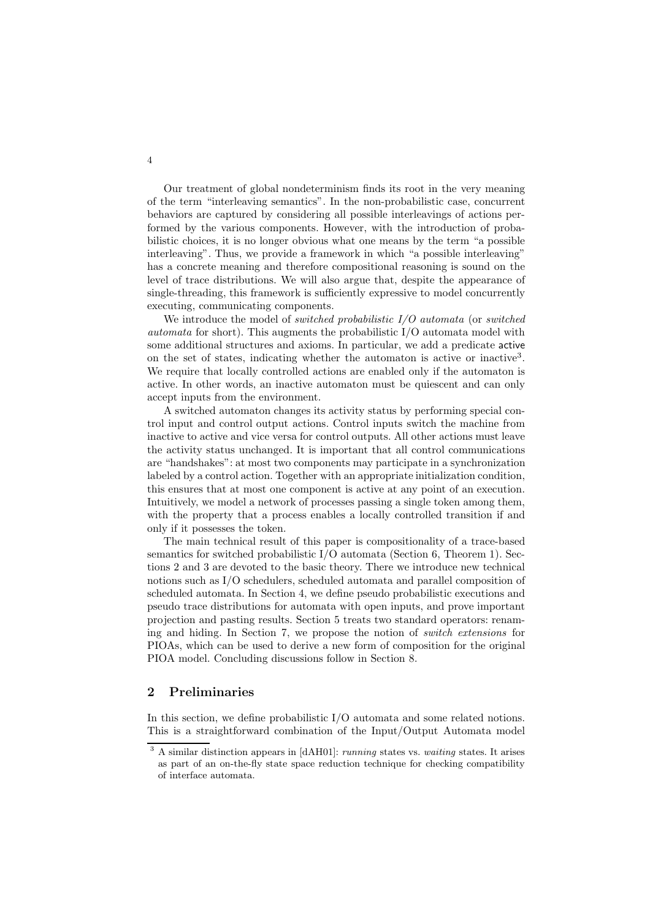Our treatment of global nondeterminism finds its root in the very meaning of the term "interleaving semantics". In the non-probabilistic case, concurrent behaviors are captured by considering all possible interleavings of actions performed by the various components. However, with the introduction of probabilistic choices, it is no longer obvious what one means by the term "a possible interleaving". Thus, we provide a framework in which "a possible interleaving" has a concrete meaning and therefore compositional reasoning is sound on the level of trace distributions. We will also argue that, despite the appearance of single-threading, this framework is sufficiently expressive to model concurrently executing, communicating components.

We introduce the model of *switched probabilistic*  $I/O$  *automata* (or *switched* automata for short). This augments the probabilistic I/O automata model with some additional structures and axioms. In particular, we add a predicate active on the set of states, indicating whether the automaton is active or inactive<sup>3</sup> . We require that locally controlled actions are enabled only if the automaton is active. In other words, an inactive automaton must be quiescent and can only accept inputs from the environment.

A switched automaton changes its activity status by performing special control input and control output actions. Control inputs switch the machine from inactive to active and vice versa for control outputs. All other actions must leave the activity status unchanged. It is important that all control communications are "handshakes": at most two components may participate in a synchronization labeled by a control action. Together with an appropriate initialization condition, this ensures that at most one component is active at any point of an execution. Intuitively, we model a network of processes passing a single token among them, with the property that a process enables a locally controlled transition if and only if it possesses the token.

The main technical result of this paper is compositionality of a trace-based semantics for switched probabilistic  $I/O$  automata (Section 6, Theorem 1). Sections 2 and 3 are devoted to the basic theory. There we introduce new technical notions such as I/O schedulers, scheduled automata and parallel composition of scheduled automata. In Section 4, we define pseudo probabilistic executions and pseudo trace distributions for automata with open inputs, and prove important projection and pasting results. Section 5 treats two standard operators: renaming and hiding. In Section 7, we propose the notion of switch extensions for PIOAs, which can be used to derive a new form of composition for the original PIOA model. Concluding discussions follow in Section 8.

## 2 Preliminaries

In this section, we define probabilistic I/O automata and some related notions. This is a straightforward combination of the Input/Output Automata model

 $3$  A similar distinction appears in [dAH01]: running states vs. waiting states. It arises as part of an on-the-fly state space reduction technique for checking compatibility of interface automata.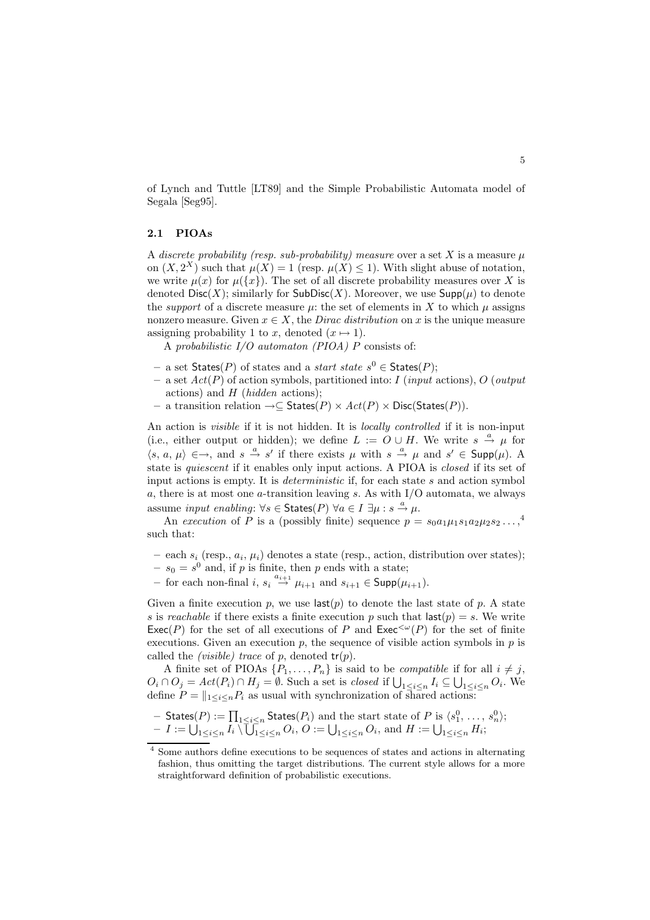of Lynch and Tuttle [LT89] and the Simple Probabilistic Automata model of Segala [Seg95].

## 2.1 PIOAs

A discrete probability (resp. sub-probability) measure over a set X is a measure  $\mu$ on  $(X, 2^X)$  such that  $\mu(X) = 1$  (resp.  $\mu(X) \leq 1$ ). With slight abuse of notation, we write  $\mu(x)$  for  $\mu({x})$ . The set of all discrete probability measures over X is denoted  $\text{Disc}(X)$ ; similarly for  $\text{SubDisc}(X)$ . Moreover, we use  $\text{Supp}(\mu)$  to denote the *support* of a discrete measure  $\mu$ : the set of elements in X to which  $\mu$  assigns nonzero measure. Given  $x \in X$ , the *Dirac distribution* on x is the unique measure assigning probability 1 to x, denoted  $(x \mapsto 1)$ .

A probabilistic I/O automaton (PIOA) P consists of:

- a set  $\text{States}(P)$  of states and a *start state*  $s^0 \in \text{States}(P)$ ;
- a set  $Act(P)$  of action symbols, partitioned into: I (input actions), O (output actions) and  $H$  (hidden actions);
- a transition relation  $\rightarrow \subseteq$  States(P) × Act(P) × Disc(States(P)).

An action is visible if it is not hidden. It is locally controlled if it is non-input (i.e., either output or hidden); we define  $L := O \cup H$ . We write  $s \stackrel{a}{\rightarrow} \mu$  for  $\langle s, a, \mu \rangle \in \rightarrow$ , and  $s \stackrel{a}{\rightarrow} s'$  if there exists  $\mu$  with  $s \stackrel{a}{\rightarrow} \mu$  and  $s' \in \text{Supp}(\mu)$ . A state is *quiescent* if it enables only input actions. A PIOA is *closed* if its set of input actions is empty. It is deterministic if, for each state s and action symbol a, there is at most one a-transition leaving s. As with  $I/O$  automata, we always assume *input enabling*:  $\forall s \in \textsf{States}(P) \ \forall a \in I \ \exists \mu : s \stackrel{a}{\rightarrow} \mu.$ 

An execution of P is a (possibly finite) sequence  $p = s_0 a_1 \mu_1 s_1 a_2 \mu_2 s_2 \ldots$ ,<sup>4</sup> such that:

- $-$  each  $s_i$  (resp.,  $a_i$ ,  $\mu_i$ ) denotes a state (resp., action, distribution over states);
- $-s_0 = s^0$  and, if p is finite, then p ends with a state;
- for each non-final *i*,  $s_i \stackrel{a_{i+1}}{\rightarrow} \mu_{i+1}$  and  $s_{i+1} \in \text{Supp}(\mu_{i+1})$ .

Given a finite execution p, we use  $\textsf{last}(p)$  to denote the last state of p. A state s is reachable if there exists a finite execution p such that  $\textsf{last}(p) = s$ . We write Exec(P) for the set of all executions of P and Exec<sup> $\lt \omega$ </sup>(P) for the set of finite executions. Given an execution p, the sequence of visible action symbols in  $p$  is called the *(visible)* trace of p, denoted  $tr(p)$ .

A finite set of PIOAs  $\{P_1, \ldots, P_n\}$  is said to be *compatible* if for all  $i \neq j$ ,  $O_i \cap O_j = Act(P_i) \cap H_j = \emptyset$ . Such a set is *closed* if  $\bigcup_{1 \leq i \leq n} I_i \subseteq \bigcup_{1 \leq i \leq n} O_i$ . We define  $P = ||_{1 \le i \le n} P_i$  as usual with synchronization of shared actions:

- States $(P) := \prod_{1 \leq i \leq n}$ States $(P_i)$  and the start state of  $P$  is  $\langle s_1^0, \ldots, s_n^0 \rangle$ ;  $-I := \bigcup_{1 \leq i \leq n} I_i \setminus \bigcup_{1 \leq i \leq n} O_i, O := \bigcup_{1 \leq i \leq n} O_i$ , and  $H := \bigcup_{1 \leq i \leq n} H_i$ ;

<sup>4</sup> Some authors define executions to be sequences of states and actions in alternating fashion, thus omitting the target distributions. The current style allows for a more straightforward definition of probabilistic executions.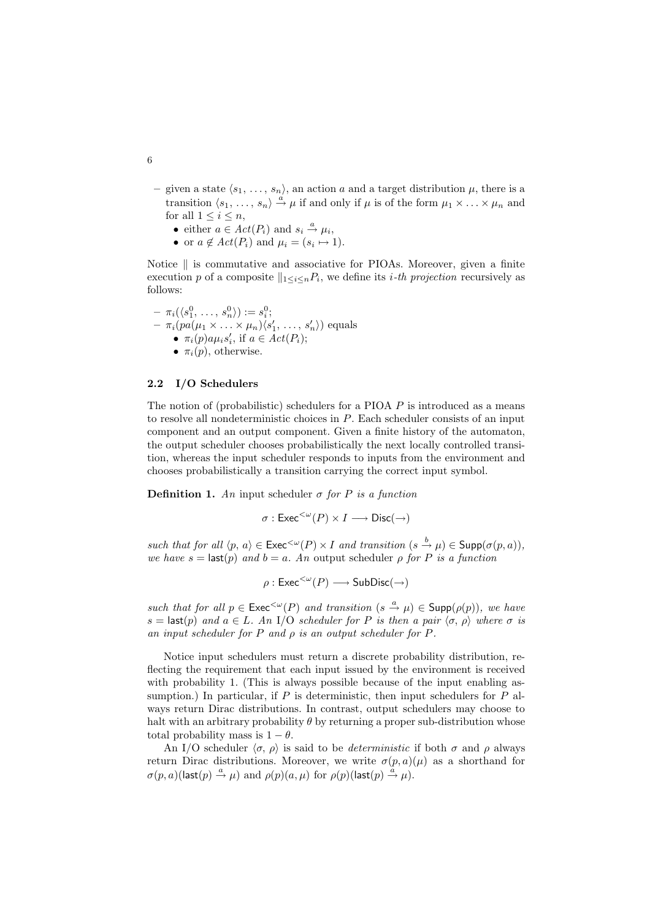- given a state  $\langle s_1, \ldots, s_n \rangle$ , an action a and a target distribution  $\mu$ , there is a transition  $\langle s_1, \ldots, s_n \rangle \stackrel{a}{\rightarrow} \mu$  if and only if  $\mu$  is of the form  $\mu_1 \times \ldots \times \mu_n$  and for all  $1 \leq i \leq n$ ,
	- either  $a \in \text{Act}(P_i)$  and  $s_i \stackrel{a}{\rightarrow} \mu_i$ ,
	- or  $a \notin \text{Act}(P_i)$  and  $\mu_i = (s_i \mapsto 1)$ .

Notice  $\parallel$  is commutative and associative for PIOAs. Moreover, given a finite execution p of a composite  $||_{1 \leq i \leq n} P_i$ , we define its *i*-th projection recursively as follows:

$$
- \pi_i(\langle s_1^0, \ldots, s_n^0 \rangle) := s_i^0;
$$
  
\n
$$
- \pi_i(pa(\mu_1 \times \ldots \times \mu_n)\langle s_1', \ldots, s_n' \rangle) equals
$$
  
\n• 
$$
\pi_i(p)a\mu_i s_i', \text{ if } a \in Act(P_i);
$$
  
\n• 
$$
\pi_i(p), \text{ otherwise.}
$$

#### 2.2 I/O Schedulers

The notion of (probabilistic) schedulers for a PIOA  $P$  is introduced as a means to resolve all nondeterministic choices in  $P$ . Each scheduler consists of an input component and an output component. Given a finite history of the automaton, the output scheduler chooses probabilistically the next locally controlled transition, whereas the input scheduler responds to inputs from the environment and chooses probabilistically a transition carrying the correct input symbol.

**Definition 1.** An input scheduler  $\sigma$  for P is a function

 $\sigma : \mathsf{Exec}^{<\omega}(P) \times I \longrightarrow \mathsf{Disc}(\rightarrow)$ 

such that for all  $\langle p, a \rangle \in \text{Exec}^{<\omega}(P) \times I$  and transition  $(s \xrightarrow{b} \mu) \in \text{Supp}(\sigma(p, a)),$ we have  $s =$  last(p) and  $b = a$ . An output scheduler  $\rho$  for P is a function

$$
\rho : \mathsf{Exec}^{<\omega}(P) \longrightarrow \mathsf{SubDisc}(\rightarrow)
$$

such that for all  $p \in \text{Exec}^{<\omega}(P)$  and transition  $(s \stackrel{a}{\to} \mu) \in \text{Supp}(\rho(p))$ , we have s = last(p) and  $a \in L$ . An I/O scheduler for P is then a pair  $\langle \sigma, \rho \rangle$  where  $\sigma$  is an input scheduler for  $P$  and  $\rho$  is an output scheduler for  $P$ .

Notice input schedulers must return a discrete probability distribution, reflecting the requirement that each input issued by the environment is received with probability 1. (This is always possible because of the input enabling assumption.) In particular, if  $P$  is deterministic, then input schedulers for  $P$  always return Dirac distributions. In contrast, output schedulers may choose to halt with an arbitrary probability  $\theta$  by returning a proper sub-distribution whose total probability mass is  $1 - \theta$ .

An I/O scheduler  $\langle \sigma, \rho \rangle$  is said to be *deterministic* if both  $\sigma$  and  $\rho$  always return Dirac distributions. Moreover, we write  $\sigma(p, a)(\mu)$  as a shorthand for  $\sigma(p,a)(\mathsf{last}(p) \stackrel{a}{\to} \mu)$  and  $\rho(p)(a,\mu)$  for  $\rho(p)(\mathsf{last}(p) \stackrel{a}{\to} \mu)$ .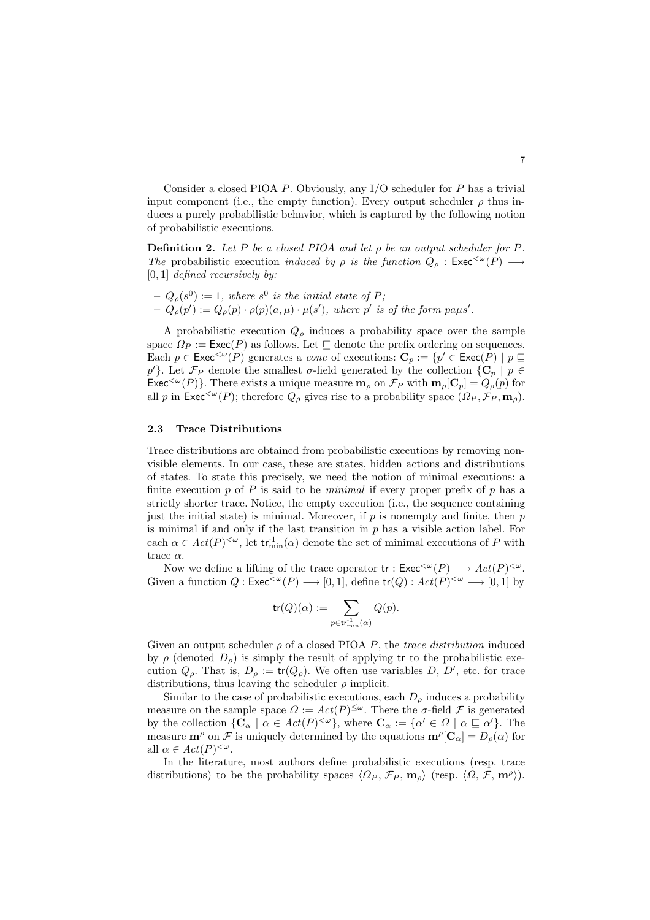Consider a closed PIOA  $P$ . Obviously, any I/O scheduler for  $P$  has a trivial input component (i.e., the empty function). Every output scheduler  $\rho$  thus induces a purely probabilistic behavior, which is captured by the following notion of probabilistic executions.

**Definition 2.** Let P be a closed PIOA and let  $\rho$  be an output scheduler for P. The probabilistic execution induced by  $\rho$  is the function  $Q_{\rho}$ : Exec<sup><ω</sup>(P)  $\longrightarrow$  $[0, 1]$  defined recursively by:

$$
Q_{\rho}(s^0) := 1, where s^0 is the initial state of P;- Q_{\rho}(p') := Q_{\rho}(p) \cdot \rho(p)(a,\mu) \cdot \mu(s'), where p' is of the form pays'.
$$

A probabilistic execution  $Q_{\rho}$  induces a probability space over the sample space  $\Omega_P := \text{Exec}(P)$  as follows. Let  $\subseteq$  denote the prefix ordering on sequences. Each  $p \in \text{Exec}^{<\omega}(P)$  generates a *cone* of executions:  $\mathbf{C}_p := \{p' \in \text{Exec}(P) \mid p \sqsubseteq \emptyset\}$ p'}. Let  $\mathcal{F}_P$  denote the smallest  $\sigma$ -field generated by the collection  $\{C_p \mid p \in$ **Exec<sup>** $<\omega(P)$ **.** There exists a unique measure  $\mathbf{m}_{\rho}$  on  $\mathcal{F}_P$  with  $\mathbf{m}_{\rho}[\mathbf{C}_p] = Q_{\rho}(p)$  for</sup> all p in  $\text{Exec}^{<\omega}(P)$ ; therefore  $Q_\rho$  gives rise to a probability space  $(\Omega_P, \mathcal{F}_P, \mathbf{m}_\rho)$ .

#### 2.3 Trace Distributions

Trace distributions are obtained from probabilistic executions by removing nonvisible elements. In our case, these are states, hidden actions and distributions of states. To state this precisely, we need the notion of minimal executions: a finite execution p of P is said to be minimal if every proper prefix of p has a strictly shorter trace. Notice, the empty execution (i.e., the sequence containing just the initial state) is minimal. Moreover, if  $p$  is nonempty and finite, then  $p$ is minimal if and only if the last transition in  $p$  has a visible action label. For each  $\alpha \in \text{Act}(P)^{<\omega}$ , let  $\text{tr}_{\text{min}}^{-1}(\alpha)$  denote the set of minimal executions of P with trace  $\alpha$ .

Now we define a lifting of the trace operator  $\mathsf{tr} : \mathsf{Exec}^{<\omega}(P) \longrightarrow \text{Act}(P)^{<\omega}$ . Given a function  $Q: \mathsf{Exec}^{<\omega}(P) \longrightarrow [0,1],$  define  $\mathsf{tr}(Q): \mathit{Act}(P)^{<\omega} \longrightarrow [0,1]$  by

$$
\mathrm{tr}(Q)(\alpha):=\sum_{p\in \mathrm{tr}_{\min}^{-1}(\alpha)} Q(p).
$$

Given an output scheduler  $\rho$  of a closed PIOA P, the trace distribution induced by  $\rho$  (denoted  $D_{\rho}$ ) is simply the result of applying tr to the probabilistic execution  $Q_{\rho}$ . That is,  $D_{\rho} := \text{tr}(Q_{\rho})$ . We often use variables D, D', etc. for trace distributions, thus leaving the scheduler  $\rho$  implicit.

Similar to the case of probabilistic executions, each  $D_{\rho}$  induces a probability measure on the sample space  $\Omega := \text{Act}(P)^{\leq \omega}$ . There the  $\sigma$ -field  $\mathcal F$  is generated by the collection  $\{C_{\alpha} \mid \alpha \in \text{Act}(P)^{<\omega}\}\$ , where  $C_{\alpha} := \{\alpha' \in \Omega \mid \alpha \sqsubseteq \alpha'\}\$ . The measure  $\mathbf{m}^{\rho}$  on  $\mathcal F$  is uniquely determined by the equations  $\mathbf{m}^{\rho}[\mathbf{C}_{\alpha}] = D_{\rho}(\alpha)$  for all  $\alpha \in \text{Act}(P)^{<\omega}$ .

In the literature, most authors define probabilistic executions (resp. trace distributions) to be the probability spaces  $\langle \Omega_P, \mathcal{F}_P, \mathbf{m}_\rho \rangle$  (resp.  $\langle \Omega, \mathcal{F}, \mathbf{m}^\rho \rangle$ ).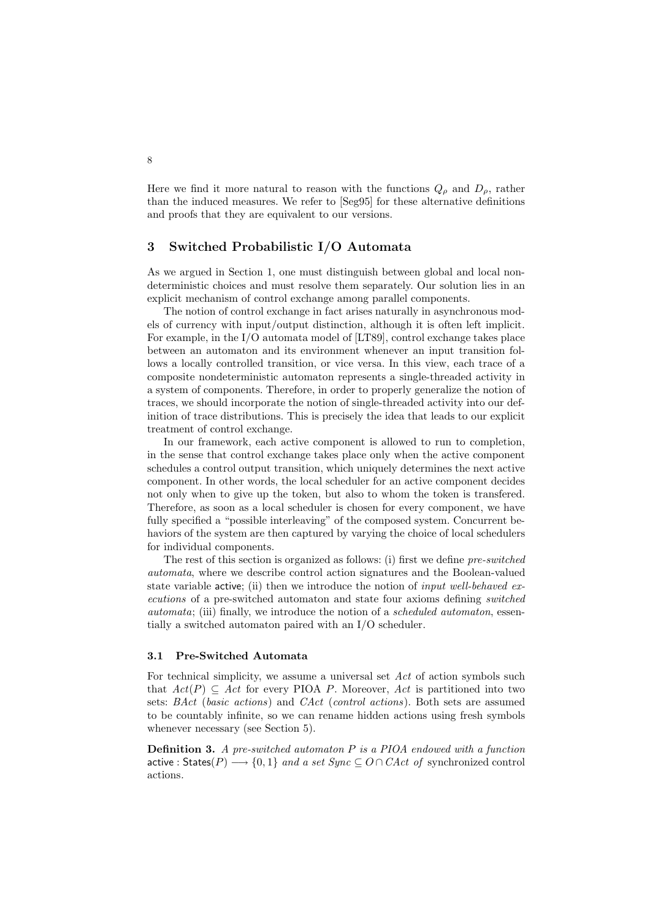Here we find it more natural to reason with the functions  $Q_{\rho}$  and  $D_{\rho}$ , rather than the induced measures. We refer to [Seg95] for these alternative definitions and proofs that they are equivalent to our versions.

## 3 Switched Probabilistic I/O Automata

As we argued in Section 1, one must distinguish between global and local nondeterministic choices and must resolve them separately. Our solution lies in an explicit mechanism of control exchange among parallel components.

The notion of control exchange in fact arises naturally in asynchronous models of currency with input/output distinction, although it is often left implicit. For example, in the I/O automata model of [LT89], control exchange takes place between an automaton and its environment whenever an input transition follows a locally controlled transition, or vice versa. In this view, each trace of a composite nondeterministic automaton represents a single-threaded activity in a system of components. Therefore, in order to properly generalize the notion of traces, we should incorporate the notion of single-threaded activity into our definition of trace distributions. This is precisely the idea that leads to our explicit treatment of control exchange.

In our framework, each active component is allowed to run to completion, in the sense that control exchange takes place only when the active component schedules a control output transition, which uniquely determines the next active component. In other words, the local scheduler for an active component decides not only when to give up the token, but also to whom the token is transfered. Therefore, as soon as a local scheduler is chosen for every component, we have fully specified a "possible interleaving" of the composed system. Concurrent behaviors of the system are then captured by varying the choice of local schedulers for individual components.

The rest of this section is organized as follows: (i) first we define pre-switched automata, where we describe control action signatures and the Boolean-valued state variable active; (ii) then we introduce the notion of *input well-behaved ex*ecutions of a pre-switched automaton and state four axioms defining switched automata; (iii) finally, we introduce the notion of a scheduled automaton, essentially a switched automaton paired with an I/O scheduler.

#### 3.1 Pre-Switched Automata

For technical simplicity, we assume a universal set Act of action symbols such that  $Act(P) \subseteq Act$  for every PIOA P. Moreover, Act is partitioned into two sets: BAct (basic actions) and CAct (control actions). Both sets are assumed to be countably infinite, so we can rename hidden actions using fresh symbols whenever necessary (see Section 5).

**Definition 3.** A pre-switched automator  $P$  is a PIOA endowed with a function active : States(P)  $\longrightarrow$  {0,1} and a set Sync  $\subseteq$  O  $\cap$  CAct of synchronized control actions.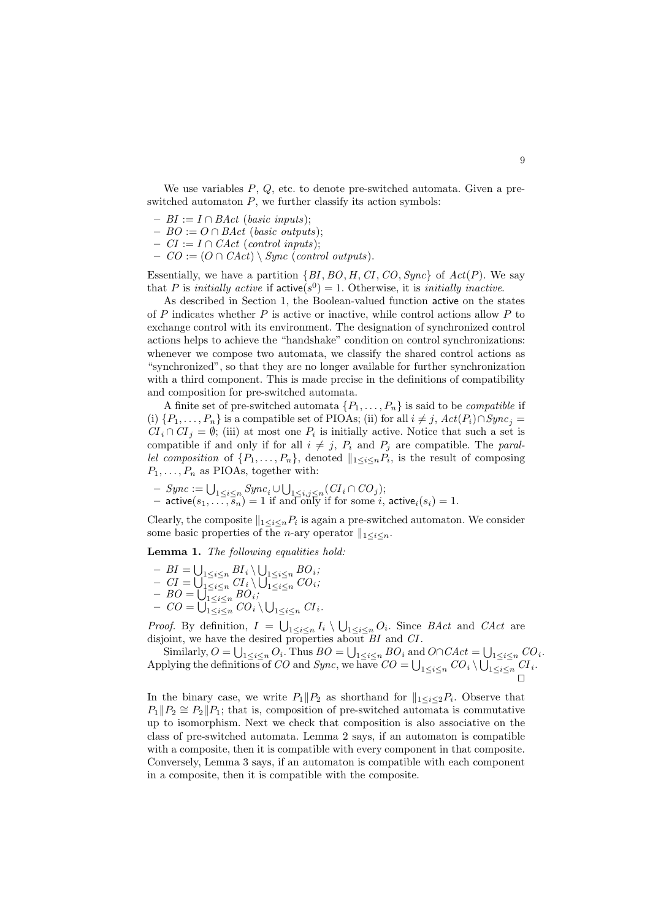We use variables  $P, Q$ , etc. to denote pre-switched automata. Given a preswitched automaton  $P$ , we further classify its action symbols:

- $BI := I \cap BAct (basic inputs);$
- $BO := O \cap BAct (basic outputs);$
- $-CI := I \cap CAct (control inputs);$
- $\overline{\phantom{C}}$   $\overline{\phantom{C}}$   $\subset$   $\overline{\phantom{C}}$   $\cap$   $\overline{\phantom{C}}$   $\subset$   $\overline{\phantom{C}}$   $\cap$   $\overline{\phantom{C}}$   $\subset$   $\overline{\phantom{C}}$   $\subset$   $\overline{\phantom{C}}$   $\subset$   $\overline{\phantom{C}}$   $\subset$   $\overline{\phantom{C}}$   $\subset$   $\overline{\phantom{C}}$   $\subset$   $\overline{\phantom{C}}$   $\subset$   $\overline{\phantom{C}}$   $\subset$   $\overline{\$

Essentially, we have a partition  $\{BI, BO, H, CI, CO, Sync\}$  of  $Act(P)$ . We say that P is *initially active* if  $active(s^0) = 1$ . Otherwise, it is *initially inactive*.

As described in Section 1, the Boolean-valued function active on the states of  $P$  indicates whether  $P$  is active or inactive, while control actions allow  $P$  to exchange control with its environment. The designation of synchronized control actions helps to achieve the "handshake" condition on control synchronizations: whenever we compose two automata, we classify the shared control actions as "synchronized", so that they are no longer available for further synchronization with a third component. This is made precise in the definitions of compatibility and composition for pre-switched automata.

A finite set of pre-switched automata  $\{P_1, \ldots, P_n\}$  is said to be *compatible* if (i)  $\{P_1,\ldots,P_n\}$  is a compatible set of PIOAs; (ii) for all  $i \neq j$ ,  $Act(P_i) \cap Sync_j =$  $CI_i \cap CI_j = \emptyset$ ; (iii) at most one  $P_i$  is initially active. Notice that such a set is compatible if and only if for all  $i \neq j$ ,  $P_i$  and  $P_j$  are compatible. The parallel composition of  $\{P_1, \ldots, P_n\}$ , denoted  $||_{1 \leq i \leq n}P_i$ , is the result of composing  $P_1, \ldots, P_n$  as PIOAs, together with:

- 
$$
Sync := \bigcup_{1 \leq i \leq n} Sync_i \cup \bigcup_{1 \leq i,j \leq n} (CI_i \cap CO_j);
$$
  
-  $\text{active}(s_1, \ldots, s_n) = 1$  if and only if for some *i*,  $\text{active}(s_i) = 1$ .

Clearly, the composite  $||_{1 \leq i \leq n} P_i$  is again a pre-switched automaton. We consider some basic properties of the *n*-ary operator  $||_{1 \leq i \leq n}$ .

Lemma 1. The following equalities hold:

- $-BI = \bigcup_{1 \leq i \leq n} BI_i \setminus \bigcup_{1 \leq i \leq n} BO_i;$  $-CI = \bigcup_{1 \leq i \leq n} CI_i \setminus \bigcup_{1 \leq i \leq n} CO_i;$
- $BO = \bigcup_{1 \le i \le n}^{-1} BO_i;$
- $CO = \bigcup_{1 \leq i \leq n} CO_i \setminus \bigcup_{1 \leq i \leq n} Cl_i.$

*Proof.* By definition,  $I = \bigcup_{1 \leq i \leq n} I_i \setminus \bigcup_{1 \leq i \leq n} O_i$ . Since *BAct* and *CAct* are disjoint, we have the desired properties about  $BI$  and  $CI$ .

Similarly,  $O = \bigcup_{1 \leq i \leq n} O_i$ . Thus  $BO = \bigcup_{1 \leq i \leq n} BO_i$  and  $O \cap CAct = \bigcup_{1 \leq i \leq n} CO_i$ . Applying the definitions of CO and Sync, we have  $CO = \bigcup_{1 \leq i \leq n} CO_i \setminus \bigcup_{1 \leq i \leq n} CI_i$ . ⊓⊔

In the binary case, we write  $P_1||P_2$  as shorthand for  $||_{1 \le i \le 2}P_i$ . Observe that  $P_1||P_2 \cong P_2||P_1$ ; that is, composition of pre-switched automata is commutative up to isomorphism. Next we check that composition is also associative on the class of pre-switched automata. Lemma 2 says, if an automaton is compatible with a composite, then it is compatible with every component in that composite. Conversely, Lemma 3 says, if an automaton is compatible with each component in a composite, then it is compatible with the composite.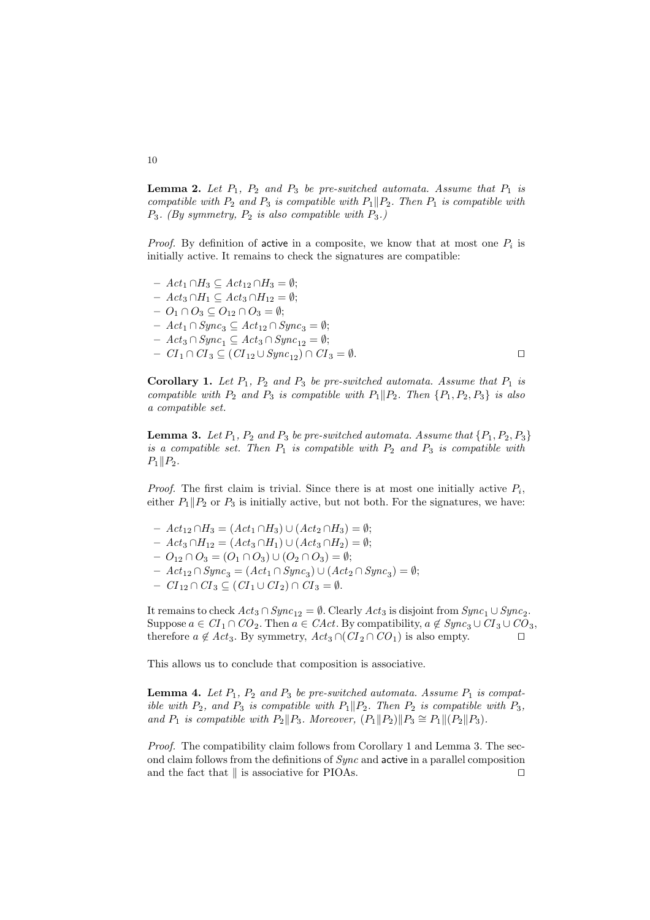**Lemma 2.** Let  $P_1$ ,  $P_2$  and  $P_3$  be pre-switched automata. Assume that  $P_1$  is compatible with  $P_2$  and  $P_3$  is compatible with  $P_1||P_2$ . Then  $P_1$  is compatible with  $P_3$ . (By symmetry,  $P_2$  is also compatible with  $P_3$ .)

*Proof.* By definition of active in a composite, we know that at most one  $P_i$  is initially active. It remains to check the signatures are compatible:

–  $Act_1 \cap H_3 \subseteq Act_{12} \cap H_3 = \emptyset;$  $- Act_3 \cap H_1 \subseteq Act_3 \cap H_{12} = \emptyset$ ;  $- O_1 \cap O_3 \subseteq O_{12} \cap O_3 = \emptyset;$  $- Act_1 \cap Sync_3 \subseteq Act_{12} \cap Sync_3 = \emptyset;$  $- Act_3 ∩ Sync_1 ⊆ Act_3 ∩ Sync_{12} = ∅;$  $-CI_1 \cap CI_3 \subseteq (CI_{12} \cup Sync_{12}) \cap CI_3 = \emptyset.$ 

**Corollary 1.** Let  $P_1$ ,  $P_2$  and  $P_3$  be pre-switched automata. Assume that  $P_1$  is compatible with  $P_2$  and  $P_3$  is compatible with  $P_1||P_2$ . Then  $\{P_1, P_2, P_3\}$  is also a compatible set.

**Lemma 3.** Let  $P_1$ ,  $P_2$  and  $P_3$  be pre-switched automata. Assume that  $\{P_1, P_2, P_3\}$ is a compatible set. Then  $P_1$  is compatible with  $P_2$  and  $P_3$  is compatible with  $P_1 \| P_2.$ 

*Proof.* The first claim is trivial. Since there is at most one initially active  $P_i$ , either  $P_1||P_2$  or  $P_3$  is initially active, but not both. For the signatures, we have:

- $Act_{12} \cap H_3 = (Act_1 \cap H_3) \cup (Act_2 \cap H_3) = \emptyset;$
- $Act_3 \cap H_{12} = (Act_3 \cap H_1) \cup (Act_3 \cap H_2) = \emptyset;$
- $O_{12} ∩ O_3 = (O_1 ∩ O_3) ∪ (O_2 ∩ O_3) = ∅;$
- $Act_{12} \cap Sync_3 = (Act_1 \cap Sync_3) \cup (Act_2 \cap Sync_3) = \emptyset;$
- $-CI_{12} \cap CI_3 \subseteq (CI_1 \cup CI_2) \cap CI_3 = \emptyset.$

It remains to check  $Act_3 \cap Sprc_{12} = \emptyset$ . Clearly  $Act_3$  is disjoint from  $Sync_1 \cup Sync_2$ . Suppose  $a \in CI_1 \cap CO_2$ . Then  $a \in Cat$ . By compatibility,  $a \notin Sync_3 \cup CI_3 \cup CO_3$ , therefore  $a \notin Act_2$ . By symmetry,  $Act_2 \cap CO_1$  is also empty. therefore  $a \notin Act_3$ . By symmetry,  $Act_3 \cap (CI_2 \cap CO_1)$  is also empty.

This allows us to conclude that composition is associative.

**Lemma 4.** Let  $P_1$ ,  $P_2$  and  $P_3$  be pre-switched automata. Assume  $P_1$  is compatible with  $P_2$ , and  $P_3$  is compatible with  $P_1||P_2$ . Then  $P_2$  is compatible with  $P_3$ , and  $P_1$  is compatible with  $P_2||P_3$ . Moreover,  $(P_1||P_2)||P_3 \cong P_1||(P_2||P_3)$ .

Proof. The compatibility claim follows from Corollary 1 and Lemma 3. The second claim follows from the definitions of  $Sync$  and active in a parallel composition and the fact that  $\parallel$  is associative for PIOAs. □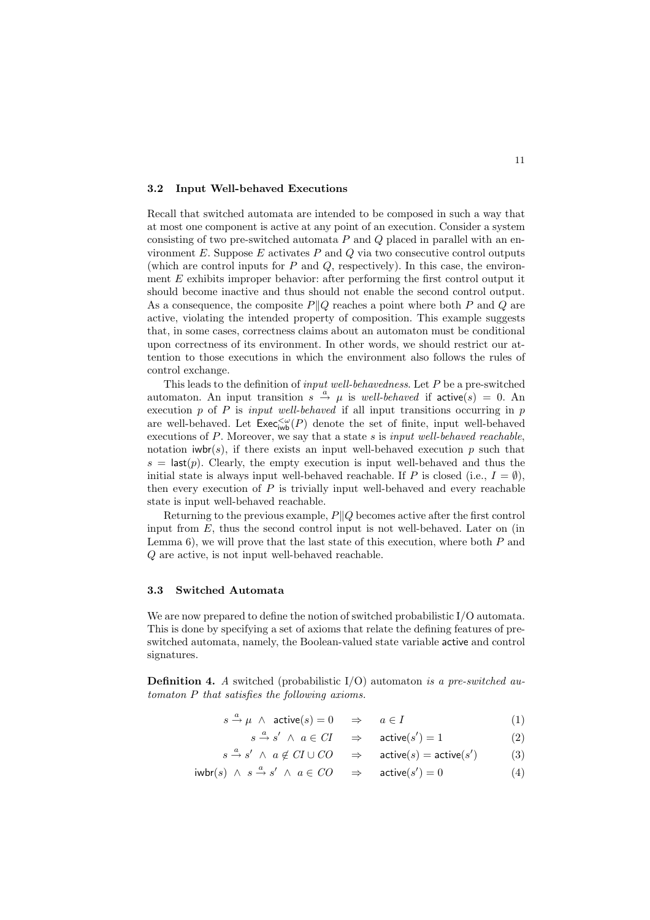#### 3.2 Input Well-behaved Executions

Recall that switched automata are intended to be composed in such a way that at most one component is active at any point of an execution. Consider a system consisting of two pre-switched automata  $P$  and  $Q$  placed in parallel with an environment  $E$ . Suppose  $E$  activates  $P$  and  $Q$  via two consecutive control outputs (which are control inputs for  $P$  and  $Q$ , respectively). In this case, the environment  $E$  exhibits improper behavior: after performing the first control output it should become inactive and thus should not enable the second control output. As a consequence, the composite  $P||Q$  reaches a point where both P and Q are active, violating the intended property of composition. This example suggests that, in some cases, correctness claims about an automaton must be conditional upon correctness of its environment. In other words, we should restrict our attention to those executions in which the environment also follows the rules of control exchange.

This leads to the definition of *input well-behavedness*. Let  $P$  be a pre-switched automaton. An input transition  $s \stackrel{a}{\rightarrow} \mu$  is well-behaved if active(s) = 0. An execution  $p$  of  $P$  is *input well-behaved* if all input transitions occurring in  $p$ are well-behaved. Let  $\mathsf{Exec}_{\mathsf{iwb}}^{\lt}\omega(P)$  denote the set of finite, input well-behaved executions of  $P$ . Moreover, we say that a state  $s$  is *input well-behaved reachable*, notation iwbr(s), if there exists an input well-behaved execution p such that  $s =$  last(p). Clearly, the empty execution is input well-behaved and thus the initial state is always input well-behaved reachable. If P is closed (i.e.,  $I = \emptyset$ ), then every execution of  $P$  is trivially input well-behaved and every reachable state is input well-behaved reachable.

Returning to the previous example,  $P||Q$  becomes active after the first control input from  $E$ , thus the second control input is not well-behaved. Later on (in Lemma  $6$ ), we will prove that the last state of this execution, where both  $P$  and Q are active, is not input well-behaved reachable.

#### 3.3 Switched Automata

We are now prepared to define the notion of switched probabilistic I/O automata. This is done by specifying a set of axioms that relate the defining features of preswitched automata, namely, the Boolean-valued state variable active and control signatures.

**Definition 4.** A switched (probabilistic  $I/O$ ) automaton is a pre-switched automaton P that satisfies the following axioms.

$$
s \xrightarrow{a} \mu \wedge \text{active}(s) = 0 \Rightarrow a \in I \tag{1}
$$

$$
s \xrightarrow{a} s' \land a \in CI \Rightarrow \text{active}(s') = 1 \tag{2}
$$

$$
s \stackrel{a}{\rightarrow} s' \land a \notin CI \cup CO \quad \Rightarrow \quad \text{active}(s) = \text{active}(s') \tag{3}
$$

 $iwhr(s) \land s \stackrel{a}{\rightarrow} s' \land a \in CO \Rightarrow \text{active}(s') = 0$  (4)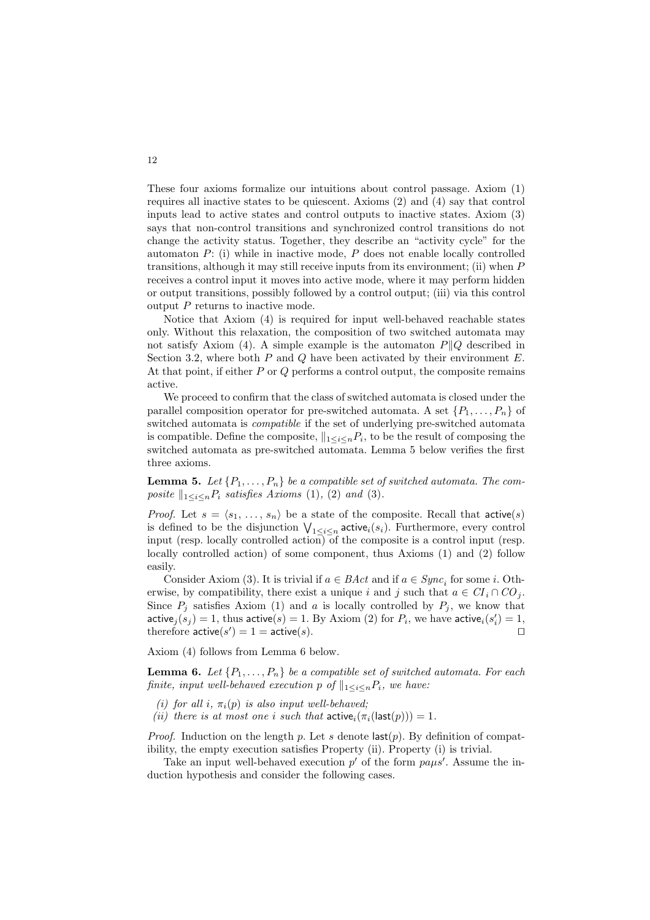These four axioms formalize our intuitions about control passage. Axiom (1) requires all inactive states to be quiescent. Axioms (2) and (4) say that control inputs lead to active states and control outputs to inactive states. Axiom (3) says that non-control transitions and synchronized control transitions do not change the activity status. Together, they describe an "activity cycle" for the automaton  $P$ : (i) while in inactive mode,  $P$  does not enable locally controlled transitions, although it may still receive inputs from its environment; (ii) when P receives a control input it moves into active mode, where it may perform hidden or output transitions, possibly followed by a control output; (iii) via this control output P returns to inactive mode.

Notice that Axiom (4) is required for input well-behaved reachable states only. Without this relaxation, the composition of two switched automata may not satisfy Axiom (4). A simple example is the automaton  $P||Q$  described in Section 3.2, where both  $P$  and  $Q$  have been activated by their environment  $E$ . At that point, if either  $P$  or  $Q$  performs a control output, the composite remains active.

We proceed to confirm that the class of switched automata is closed under the parallel composition operator for pre-switched automata. A set  $\{P_1, \ldots, P_n\}$  of switched automata is compatible if the set of underlying pre-switched automata is compatible. Define the composite,  $||_{1 \leq i \leq n} P_i$ , to be the result of composing the switched automata as pre-switched automata. Lemma 5 below verifies the first three axioms.

**Lemma 5.** Let  $\{P_1, \ldots, P_n\}$  be a compatible set of switched automata. The composite  $\|_{1\leq i\leq n}P_i$  satisfies Axioms (1), (2) and (3).

*Proof.* Let  $s = \langle s_1, \ldots, s_n \rangle$  be a state of the composite. Recall that  $active(s)$ is defined to be the disjunction  $\bigvee_{1 \leq i \leq n}$  active<sub>i</sub> $(s_i)$ . Furthermore, every control input (resp. locally controlled action) of the composite is a control input (resp. locally controlled action) of some component, thus Axioms (1) and (2) follow easily.

Consider Axiom (3). It is trivial if  $a \in BAct$  and if  $a \in Sync_i$  for some *i*. Otherwise, by compatibility, there exist a unique i and j such that  $a \in CI_i \cap CO_j$ . Since  $P_j$  satisfies Axiom (1) and a is locally controlled by  $P_j$ , we know that  $\mathsf{active}_j(s_j) = 1$ , thus  $\mathsf{active}(s) = 1$ . By Axiom (2) for  $P_i$ , we have  $\mathsf{active}_i(s_i') = 1$ , therefore  $\textsf{active}(s') = 1 = \textsf{active}(s)$ .  $□$ 

Axiom (4) follows from Lemma 6 below.

**Lemma 6.** Let  $\{P_1, \ldots, P_n\}$  be a compatible set of switched automata. For each finite, input well-behaved execution p of  $||_{1 \le i \le n} P_i$ , we have:

- (i) for all i,  $\pi_i(p)$  is also input well-behaved;
- (ii) there is at most one i such that  $\textsf{active}_i(\pi_i(\textsf{last}(p))) = 1$ .

*Proof.* Induction on the length p. Let s denote  $\textsf{last}(p)$ . By definition of compatibility, the empty execution satisfies Property (ii). Property (i) is trivial.

Take an input well-behaved execution  $p'$  of the form  $pa\mu s'$ . Assume the induction hypothesis and consider the following cases.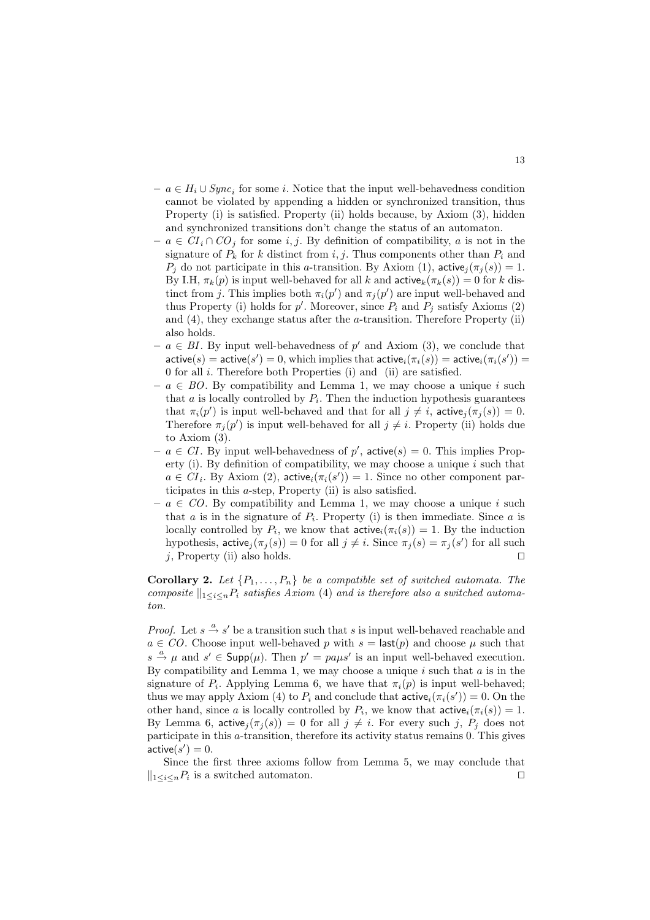- $a \in H_i ∪ Sync_i$  for some *i*. Notice that the input well-behavedness condition cannot be violated by appending a hidden or synchronized transition, thus Property (i) is satisfied. Property (ii) holds because, by Axiom (3), hidden and synchronized transitions don't change the status of an automaton.
- $a \in CI_i \cap CO_i$  for some i, j. By definition of compatibility, a is not in the signature of  $P_k$  for k distinct from i, j. Thus components other than  $P_i$  and  $P_j$  do not participate in this a-transition. By Axiom (1), active,  $(\pi_j(s)) = 1$ . By I.H,  $\pi_k(p)$  is input well-behaved for all k and active  $k(\pi_k(s)) = 0$  for k distinct from j. This implies both  $\pi_i(p')$  and  $\pi_j(p')$  are input well-behaved and thus Property (i) holds for  $p'$ . Moreover, since  $P_i$  and  $P_j$  satisfy Axioms (2) and  $(4)$ , they exchange status after the *a*-transition. Therefore Property (ii) also holds.
- $− a ∈ BI$ . By input well-behavedness of p' and Axiom (3), we conclude that  $\mathsf{active}(s) = \mathsf{active}(s') = 0,$  which implies that  $\mathsf{active}_i(\pi_i(s)) = \mathsf{active}_i(\pi_i(s')) = 0$ 0 for all  $i$ . Therefore both Properties (i) and (ii) are satisfied.
- $a \in BO$ . By compatibility and Lemma 1, we may choose a unique i such that  $a$  is locally controlled by  $P_i$ . Then the induction hypothesis guarantees that  $\pi_i(p')$  is input well-behaved and that for all  $j \neq i$ , active,  $(\pi_j(s)) = 0$ . Therefore  $\pi_j(p')$  is input well-behaved for all  $j \neq i$ . Property (ii) holds due to Axiom (3).
- $-a \in CI$ . By input well-behavedness of p', active(s) = 0. This implies Property (i). By definition of compatibility, we may choose a unique  $i$  such that  $a \in CI_i$ . By Axiom (2), active<sub>i</sub> $(\pi_i(s')) = 1$ . Since no other component participates in this a-step, Property (ii) is also satisfied.
- $a \in CO$ . By compatibility and Lemma 1, we may choose a unique i such that  $a$  is in the signature of  $P_i$ . Property (i) is then immediate. Since  $a$  is locally controlled by  $P_i$ , we know that  $\text{active}_i(\pi_i(s)) = 1$ . By the induction hypothesis,  $\text{active}_j(\pi_j(s)) = 0$  for all  $j \neq i$ . Since  $\pi_j(s) = \pi_j(s')$  for all such j, Property (ii) also holds. □

**Corollary 2.** Let  $\{P_1, \ldots, P_n\}$  be a compatible set of switched automata. The composite  $||_{1\leq i\leq n}P_i$  satisfies Axiom (4) and is therefore also a switched automaton.

*Proof.* Let  $s \stackrel{a}{\rightarrow} s'$  be a transition such that s is input well-behaved reachable and  $a \in CO$ . Choose input well-behaved p with  $s = \text{last}(p)$  and choose  $\mu$  such that  $s \stackrel{a}{\rightarrow} \mu$  and  $s' \in \text{Supp}(\mu)$ . Then  $p' = p a \mu s'$  is an input well-behaved execution. By compatibility and Lemma 1, we may choose a unique  $i$  such that  $a$  is in the signature of  $P_i$ . Applying Lemma 6, we have that  $\pi_i(p)$  is input well-behaved; thus we may apply Axiom (4) to  $P_i$  and conclude that  $\text{active}_i(\pi_i(s')) = 0$ . On the other hand, since a is locally controlled by  $P_i$ , we know that  $\text{active}_i(\pi_i(s)) = 1$ . By Lemma 6, active,  $(\pi_i(s)) = 0$  for all  $j \neq i$ . For every such j,  $P_i$  does not participate in this a-transition, therefore its activity status remains 0. This gives  $\mathsf{active}(s') = 0.$ 

Since the first three axioms follow from Lemma 5, we may conclude that  $||_1 \leq i \leq n}$  is a switched automaton. □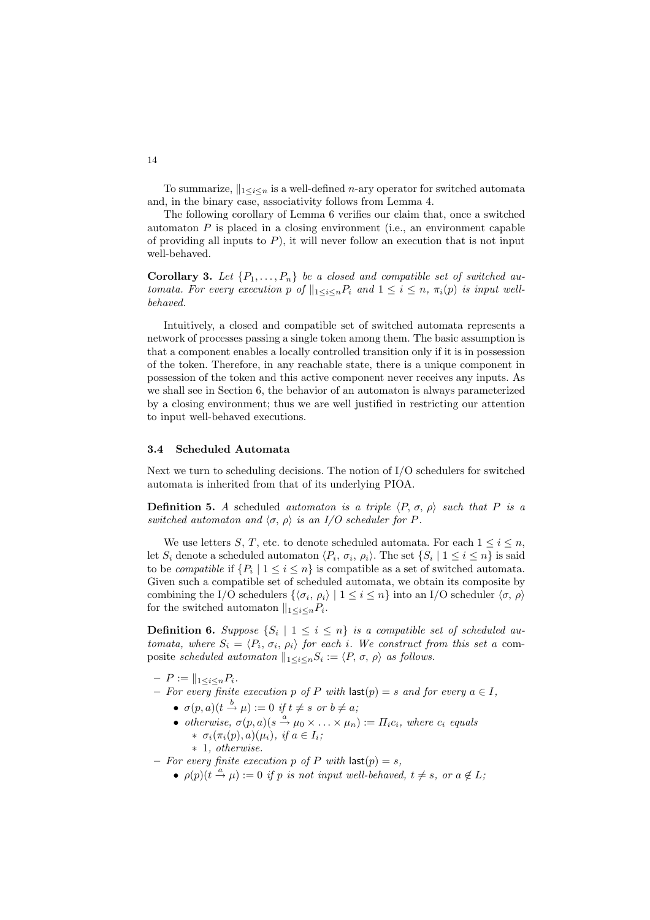To summarize,  $||_{1\leq i\leq n}$  is a well-defined n-ary operator for switched automata and, in the binary case, associativity follows from Lemma 4.

The following corollary of Lemma 6 verifies our claim that, once a switched automaton  $P$  is placed in a closing environment (i.e., an environment capable of providing all inputs to  $P$ ), it will never follow an execution that is not input well-behaved.

**Corollary 3.** Let  $\{P_1, \ldots, P_n\}$  be a closed and compatible set of switched automata. For every execution p of  $||_{1 \leq i \leq n} P_i$  and  $1 \leq i \leq n$ ,  $\pi_i(p)$  is input wellbehaved.

Intuitively, a closed and compatible set of switched automata represents a network of processes passing a single token among them. The basic assumption is that a component enables a locally controlled transition only if it is in possession of the token. Therefore, in any reachable state, there is a unique component in possession of the token and this active component never receives any inputs. As we shall see in Section 6, the behavior of an automaton is always parameterized by a closing environment; thus we are well justified in restricting our attention to input well-behaved executions.

#### 3.4 Scheduled Automata

Next we turn to scheduling decisions. The notion of I/O schedulers for switched automata is inherited from that of its underlying PIOA.

**Definition 5.** A scheduled automaton is a triple  $\langle P, \sigma, \rho \rangle$  such that P is a switched automaton and  $\langle \sigma, \rho \rangle$  is an I/O scheduler for P.

We use letters S, T, etc. to denote scheduled automata. For each  $1 \leq i \leq n$ , let  $S_i$  denote a scheduled automaton  $\langle P_i, \sigma_i, \rho_i \rangle$ . The set  $\{S_i \mid 1 \le i \le n\}$  is said to be *compatible* if  $\{P_i \mid 1 \leq i \leq n\}$  is compatible as a set of switched automata. Given such a compatible set of scheduled automata, we obtain its composite by combining the I/O schedulers  $\{\langle \sigma_i, \rho_i \rangle \mid 1 \leq i \leq n\}$  into an I/O scheduler  $\langle \sigma, \rho \rangle$ for the switched automaton  $||_{1 \leq i \leq n} P_i$ .

**Definition 6.** Suppose  $\{S_i \mid 1 \leq i \leq n\}$  is a compatible set of scheduled automata, where  $S_i = \langle P_i, \sigma_i, \rho_i \rangle$  for each i. We construct from this set a composite scheduled automaton  $||_{1\leq i\leq n}S_i := \langle P, \sigma, \rho \rangle$  as follows.

- $P := ||_{1 \le i \le n} P_i.$
- For every finite execution p of P with  $\textsf{last}(p) = s$  and for every  $a \in I$ ,
	- $\sigma(p,a)(t \stackrel{b}{\rightarrow} \mu) := 0 \text{ if } t \neq s \text{ or } b \neq a;$
	- otherwise,  $\sigma(p, a)$  ( $s \stackrel{a}{\rightarrow} \mu_0 \times \ldots \times \mu_n$ ) :=  $\Pi_i c_i$ , where  $c_i$  equals  $\star \sigma_i(\pi_i(p), a)(\mu_i), \text{ if } a \in I_i;$ 
		- ∗ 1, otherwise.
- For every finite execution p of P with  $\textsf{last}(p) = s$ ,
	- $\rho(p)(t \stackrel{a}{\rightarrow} \mu) := 0$  if p is not input well-behaved,  $t \neq s$ , or  $a \notin L$ ;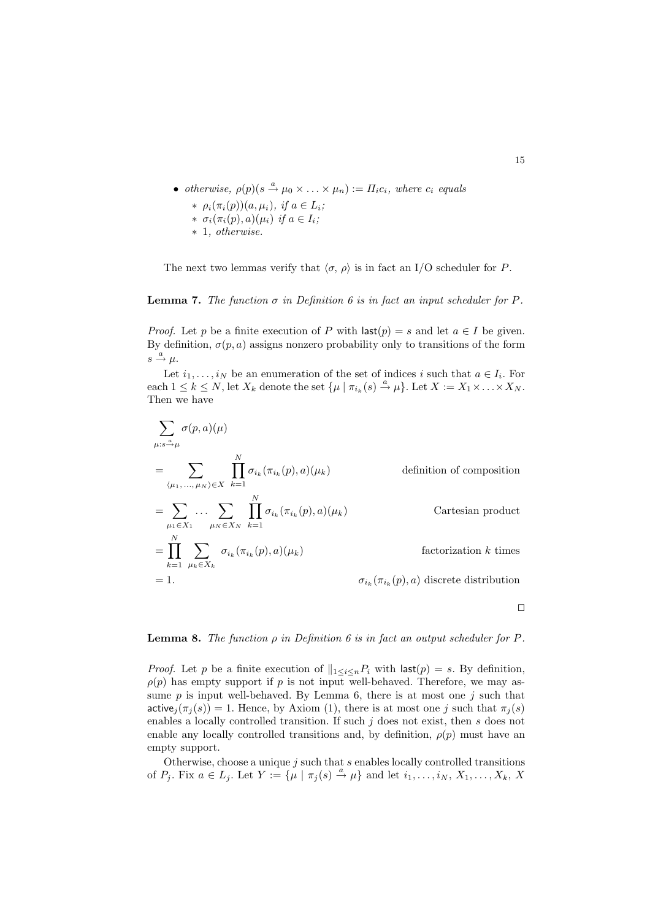- otherwise,  $\rho(p)$  ( $s \stackrel{a}{\rightarrow} \mu_0 \times \ldots \times \mu_n$ ) :=  $\Pi_i c_i$ , where  $c_i$  equals
	- \*  $\rho_i(\pi_i(p))(a,\mu_i)$ , if  $a \in L_i$ ;
	- ∗ σi(πi(p), a)(µi) if a ∈ Ii;
	- ∗ 1, otherwise.

The next two lemmas verify that  $\langle \sigma, \rho \rangle$  is in fact an I/O scheduler for P.

**Lemma 7.** The function  $\sigma$  in Definition 6 is in fact an input scheduler for P.

*Proof.* Let p be a finite execution of P with  $\textsf{last}(p) = s$  and let  $a \in I$  be given. By definition,  $\sigma(p, a)$  assigns nonzero probability only to transitions of the form  $s \stackrel{a}{\rightarrow} \mu$ .

Let  $i_1, \ldots, i_N$  be an enumeration of the set of indices i such that  $a \in I_i$ . For each  $1 \leq k \leq N$ , let  $X_k$  denote the set  $\{\mu \mid \pi_{i_k}(s) \stackrel{a}{\rightarrow} \mu\}$ . Let  $X := X_1 \times \ldots \times X_N$ . Then we have

$$
\sum_{\mu:s\stackrel{\alpha}{\to}\mu} \sigma(p,a)(\mu)
$$
\n
$$
= \sum_{\langle \mu_1,\ldots,\mu_N\rangle \in X} \prod_{k=1}^N \sigma_{i_k}(\pi_{i_k}(p),a)(\mu_k)
$$
\n
$$
= \sum_{\mu_1 \in X_1} \ldots \sum_{\mu_N \in X_N} \prod_{k=1}^N \sigma_{i_k}(\pi_{i_k}(p),a)(\mu_k)
$$
\n
$$
= \prod_{k=1}^N \sum_{\mu_k \in X_k} \sigma_{i_k}(\pi_{i_k}(p),a)(\mu_k)
$$
\n
$$
= \prod_{k=1}^N \sum_{\mu_k \in X_k} \sigma_{i_k}(\pi_{i_k}(p),a)(\mu_k)
$$
\n
$$
= 1.
$$
\n
$$
\sigma_{i_k}(\pi_{i_k}(p),a)
$$
 discrete distribution

⊓⊔

## **Lemma 8.** The function  $\rho$  in Definition 6 is in fact an output scheduler for P.

*Proof.* Let p be a finite execution of  $||_{1\leq i\leq n}P_i$  with  $|$ ast $(p) = s$ . By definition,  $\rho(p)$  has empty support if p is not input well-behaved. Therefore, we may assume  $p$  is input well-behaved. By Lemma 6, there is at most one  $j$  such that active<sub>i</sub> $(\pi_i(s)) = 1$ . Hence, by Axiom (1), there is at most one j such that  $\pi_i(s)$ enables a locally controlled transition. If such  $j$  does not exist, then  $s$  does not enable any locally controlled transitions and, by definition,  $\rho(p)$  must have an empty support.

Otherwise, choose a unique  $j$  such that  $s$  enables locally controlled transitions of  $P_j$ . Fix  $a \in L_j$ . Let  $Y := \{\mu \mid \pi_j(s) \stackrel{a}{\to} \mu\}$  and let  $i_1, \ldots, i_N, X_1, \ldots, X_k, X_k$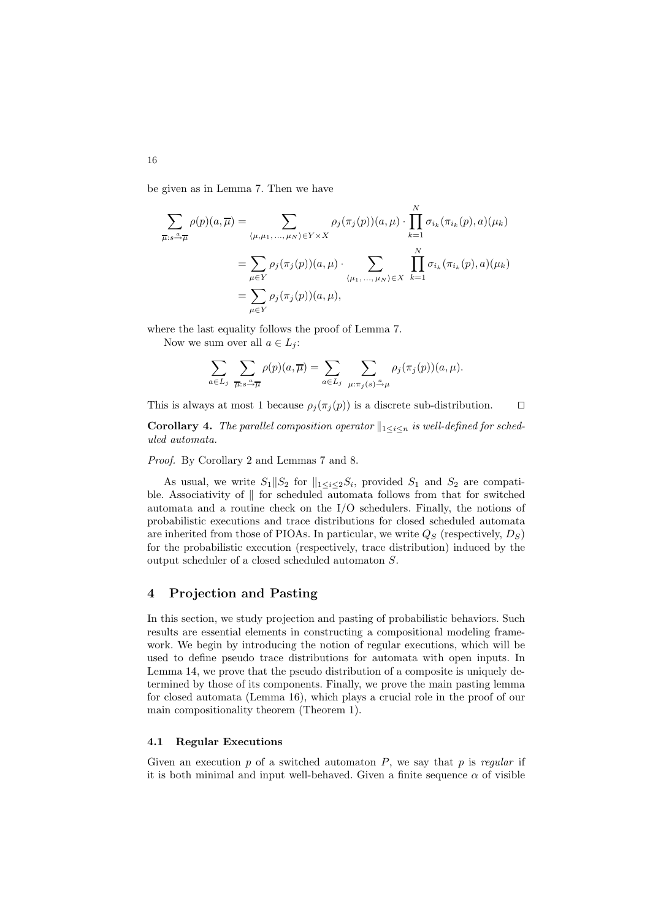be given as in Lemma 7. Then we have

$$
\sum_{\overline{\mu}:s\stackrel{\Delta}{\rightarrow}\overline{\mu}} \rho(p)(a,\overline{\mu}) = \sum_{\langle \mu,\mu_1,\dots,\mu_N\rangle \in Y \times X} \rho_j(\pi_j(p))(a,\mu) \cdot \prod_{k=1}^N \sigma_{i_k}(\pi_{i_k}(p),a)(\mu_k)
$$

$$
= \sum_{\mu \in Y} \rho_j(\pi_j(p))(a,\mu) \cdot \sum_{\langle \mu_1,\dots,\mu_N\rangle \in X} \prod_{k=1}^N \sigma_{i_k}(\pi_{i_k}(p),a)(\mu_k)
$$

$$
= \sum_{\mu \in Y} \rho_j(\pi_j(p))(a,\mu),
$$

where the last equality follows the proof of Lemma 7.

Now we sum over all  $a \in L_i$ :

$$
\sum_{a\in L_j}\ \sum_{\overline{\mu}:s\stackrel{a}{\to}\overline{\mu}}\rho(p)(a,\overline{\mu})=\sum_{a\in L_j}\ \sum_{\mu:\pi_j(s)\stackrel{a}{\to}\mu}\rho_j(\pi_j(p))(a,\mu).
$$

This is always at most 1 because  $\rho_j(\pi_j(p))$  is a discrete sub-distribution. □

**Corollary 4.** The parallel composition operator  $||_{1\leq i\leq n}$  is well-defined for scheduled automata.

Proof. By Corollary 2 and Lemmas 7 and 8.

As usual, we write  $S_1||S_2$  for  $||_{1\leq i\leq 2}S_i$ , provided  $S_1$  and  $S_2$  are compatible. Associativity of  $\parallel$  for scheduled automata follows from that for switched automata and a routine check on the I/O schedulers. Finally, the notions of probabilistic executions and trace distributions for closed scheduled automata are inherited from those of PIOAs. In particular, we write  $Q_S$  (respectively,  $D_S$ ) for the probabilistic execution (respectively, trace distribution) induced by the output scheduler of a closed scheduled automaton S.

## 4 Projection and Pasting

In this section, we study projection and pasting of probabilistic behaviors. Such results are essential elements in constructing a compositional modeling framework. We begin by introducing the notion of regular executions, which will be used to define pseudo trace distributions for automata with open inputs. In Lemma 14, we prove that the pseudo distribution of a composite is uniquely determined by those of its components. Finally, we prove the main pasting lemma for closed automata (Lemma 16), which plays a crucial role in the proof of our main compositionality theorem (Theorem 1).

#### 4.1 Regular Executions

Given an execution  $p$  of a switched automaton  $P$ , we say that  $p$  is regular if it is both minimal and input well-behaved. Given a finite sequence  $\alpha$  of visible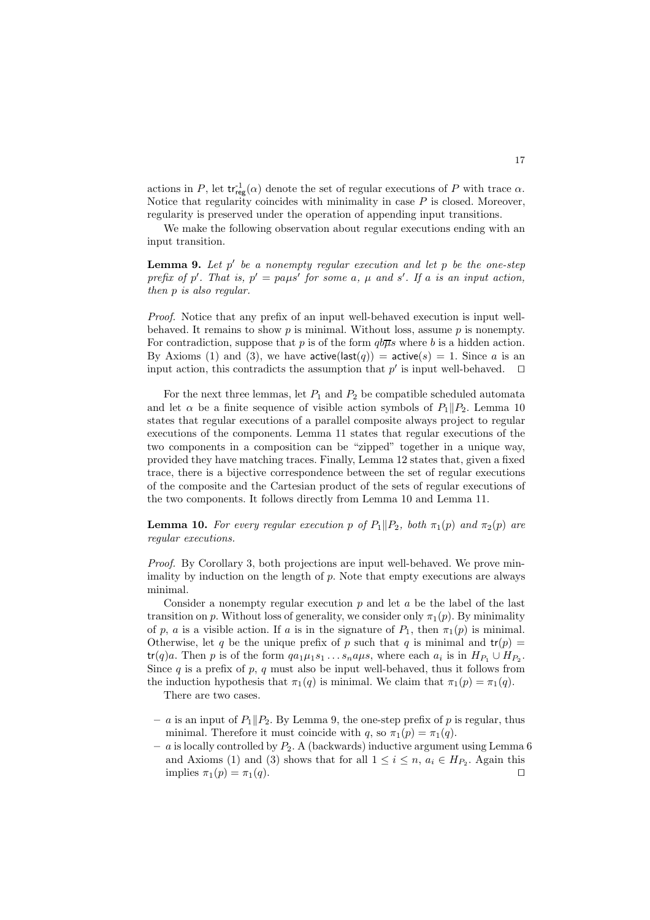actions in P, let  $tr_{reg}^{-1}(\alpha)$  denote the set of regular executions of P with trace  $\alpha$ . Notice that regularity coincides with minimality in case  $P$  is closed. Moreover, regularity is preserved under the operation of appending input transitions.

We make the following observation about regular executions ending with an input transition.

**Lemma 9.** Let  $p'$  be a nonempty regular execution and let  $p$  be the one-step prefix of p'. That is,  $p' = p a \mu s'$  for some a,  $\mu$  and s'. If a is an input action, then p is also regular.

Proof. Notice that any prefix of an input well-behaved execution is input wellbehaved. It remains to show p is minimal. Without loss, assume p is nonempty. For contradiction, suppose that p is of the form  $q\bar{b}\overline{\mu}s$  where b is a hidden action. By Axioms (1) and (3), we have active(last(q)) = active(s) = 1. Since a is an input action, this contradicts the assumption that  $p'$  is input well-behaved.  $\Box$ 

For the next three lemmas, let  $P_1$  and  $P_2$  be compatible scheduled automata and let  $\alpha$  be a finite sequence of visible action symbols of  $P_1||P_2$ . Lemma 10 states that regular executions of a parallel composite always project to regular executions of the components. Lemma 11 states that regular executions of the two components in a composition can be "zipped" together in a unique way, provided they have matching traces. Finally, Lemma 12 states that, given a fixed trace, there is a bijective correspondence between the set of regular executions of the composite and the Cartesian product of the sets of regular executions of the two components. It follows directly from Lemma 10 and Lemma 11.

**Lemma 10.** For every regular execution p of  $P_1||P_2$ , both  $\pi_1(p)$  and  $\pi_2(p)$  are regular executions.

Proof. By Corollary 3, both projections are input well-behaved. We prove minimality by induction on the length of p. Note that empty executions are always minimal.

Consider a nonempty regular execution  $p$  and let  $a$  be the label of the last transition on p. Without loss of generality, we consider only  $\pi_1(p)$ . By minimality of p, a is a visible action. If a is in the signature of  $P_1$ , then  $\pi_1(p)$  is minimal. Otherwise, let q be the unique prefix of p such that q is minimal and  $tr(p)$  = tr(q)a. Then p is of the form  $qa_1\mu_1s_1 \ldots s_n a\mu s$ , where each  $a_i$  is in  $H_{P_1} \cup H_{P_2}$ . Since  $q$  is a prefix of  $p$ ,  $q$  must also be input well-behaved, thus it follows from the induction hypothesis that  $\pi_1(q)$  is minimal. We claim that  $\pi_1(p) = \pi_1(q)$ .

There are two cases.

- a is an input of  $P_1||P_2$ . By Lemma 9, the one-step prefix of p is regular, thus minimal. Therefore it must coincide with q, so  $\pi_1(p) = \pi_1(q)$ .
- a is locally controlled by  $P_2$ . A (backwards) inductive argument using Lemma 6 and Axioms (1) and (3) shows that for all  $1 \leq i \leq n$ ,  $a_i \in H_{P_2}$ . Again this implies  $\pi_1(p) = \pi_1(q)$ . □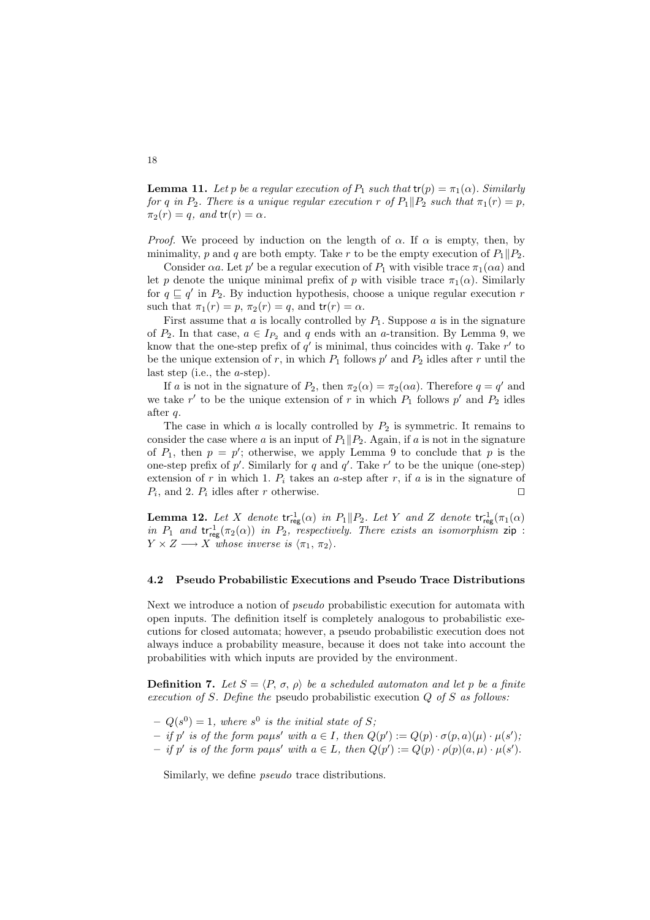**Lemma 11.** Let p be a regular execution of  $P_1$  such that  $tr(p) = \pi_1(\alpha)$ . Similarly for q in  $P_2$ . There is a unique regular execution r of  $P_1||P_2$  such that  $\pi_1(r) = p$ ,  $\pi_2(r) = q$ , and  $tr(r) = \alpha$ .

*Proof.* We proceed by induction on the length of  $\alpha$ . If  $\alpha$  is empty, then, by minimality, p and q are both empty. Take r to be the empty execution of  $P_1||P_2$ .

Consider  $\alpha a$ . Let  $p'$  be a regular execution of  $P_1$  with visible trace  $\pi_1(\alpha a)$  and let p denote the unique minimal prefix of p with visible trace  $\pi_1(\alpha)$ . Similarly for  $q \sqsubseteq q'$  in  $P_2$ . By induction hypothesis, choose a unique regular execution r such that  $\pi_1(r) = p$ ,  $\pi_2(r) = q$ , and  $tr(r) = \alpha$ .

First assume that a is locally controlled by  $P_1$ . Suppose a is in the signature of  $P_2$ . In that case,  $a \in I_{P_2}$  and q ends with an a-transition. By Lemma 9, we know that the one-step prefix of  $q'$  is minimal, thus coincides with q. Take  $r'$  to be the unique extension of r, in which  $P_1$  follows  $p'$  and  $P_2$  idles after r until the last step (i.e., the a-step).

If a is not in the signature of  $P_2$ , then  $\pi_2(\alpha) = \pi_2(\alpha a)$ . Therefore  $q = q'$  and we take  $r'$  to be the unique extension of r in which  $P_1$  follows  $p'$  and  $P_2$  idles after q.

The case in which  $a$  is locally controlled by  $P_2$  is symmetric. It remains to consider the case where a is an input of  $P_1||P_2$ . Again, if a is not in the signature of  $P_1$ , then  $p = p'$ ; otherwise, we apply Lemma 9 to conclude that p is the one-step prefix of  $p'$ . Similarly for q and  $q'$ . Take  $r'$  to be the unique (one-step) extension of r in which 1.  $P_i$  takes an a-step after r, if a is in the signature of  $P_i$ , and 2.  $P_i$  idles after r otherwise. □

**Lemma 12.** Let X denote  $\text{tr}_{\text{reg}}^1(\alpha)$  in  $P_1||P_2$ . Let Y and Z denote  $\text{tr}_{\text{reg}}^1(\pi_1(\alpha))$ in  $P_1$  and  $\text{tr}_{\text{reg}}^1(\pi_2(\alpha))$  in  $P_2$ , respectively. There exists an isomorphism zip:  $Y \times Z \longrightarrow X$  whose inverse is  $\langle \pi_1, \pi_2 \rangle$ .

#### 4.2 Pseudo Probabilistic Executions and Pseudo Trace Distributions

Next we introduce a notion of pseudo probabilistic execution for automata with open inputs. The definition itself is completely analogous to probabilistic executions for closed automata; however, a pseudo probabilistic execution does not always induce a probability measure, because it does not take into account the probabilities with which inputs are provided by the environment.

**Definition 7.** Let  $S = \langle P, \sigma, \rho \rangle$  be a scheduled automaton and let p be a finite execution of S. Define the pseudo probabilistic execution  $Q$  of S as follows:

- $-Q(s^0) = 1$ , where  $s^0$  is the initial state of S;
- $-$  if p' is of the form paµs' with  $a \in I$ , then  $Q(p') := Q(p) \cdot \sigma(p, a)(\mu) \cdot \mu(s')$ ;
- $-$  if p' is of the form paµs' with  $a \in L$ , then  $Q(p') := Q(p) \cdot \rho(p)(a, \mu) \cdot \mu(s')$ .

Similarly, we define pseudo trace distributions.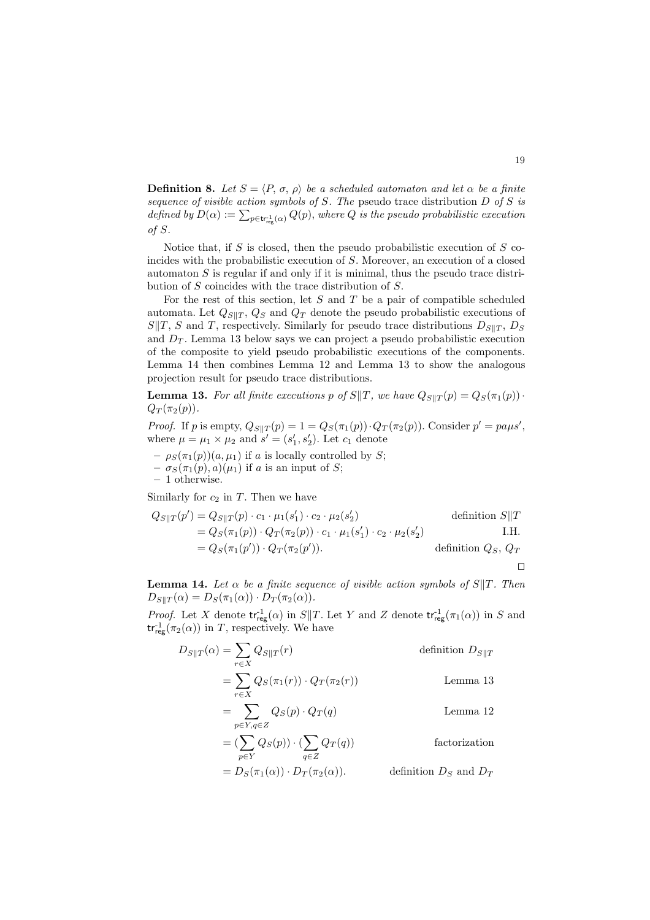**Definition 8.** Let  $S = \langle P, \sigma, \rho \rangle$  be a scheduled automaton and let  $\alpha$  be a finite sequence of visible action symbols of S. The pseudo trace distribution  $D$  of S is defined by  $D(\alpha) := \sum_{p \in \text{tr}_{\text{reg}}^1(\alpha)} Q(p)$ , where Q is the pseudo probabilistic execution of S.

Notice that, if  $S$  is closed, then the pseudo probabilistic execution of  $S$  coincides with the probabilistic execution of S. Moreover, an execution of a closed automaton  $S$  is regular if and only if it is minimal, thus the pseudo trace distribution of S coincides with the trace distribution of S.

For the rest of this section, let  $S$  and  $T$  be a pair of compatible scheduled automata. Let  $Q_{S||T}$ ,  $Q_S$  and  $Q_T$  denote the pseudo probabilistic executions of  $S||T, S$  and T, respectively. Similarly for pseudo trace distributions  $D_{S||T}, D_S$ and  $D_T$ . Lemma 13 below says we can project a pseudo probabilistic execution of the composite to yield pseudo probabilistic executions of the components. Lemma 14 then combines Lemma 12 and Lemma 13 to show the analogous projection result for pseudo trace distributions.

**Lemma 13.** For all finite executions p of  $S||T$ , we have  $Q_{S||T}(p) = Q_S(\pi_1(p))$ .  $Q_T(\pi_2(p)).$ 

*Proof.* If p is empty,  $Q_{S||T}(p) = 1 = Q_S(\pi_1(p)) \cdot Q_T(\pi_2(p))$ . Consider  $p' = p a \mu s'$ , where  $\mu = \mu_1 \times \mu_2$  and  $s' = (s'_1, s'_2)$ . Let  $c_1$  denote

- $\rho_S(\pi_1(p))(a, \mu_1)$  if a is locally controlled by S;
- $-\sigma_S(\pi_1(p), a)(\mu_1)$  if a is an input of S; – 1 otherwise.

Similarly for  $c_2$  in T. Then we have

$$
Q_{S||T}(p') = Q_{S||T}(p) \cdot c_1 \cdot \mu_1(s'_1) \cdot c_2 \cdot \mu_2(s'_2)
$$
 definition  $S||T$   
=  $Q_S(\pi_1(p)) \cdot Q_T(\pi_2(p)) \cdot c_1 \cdot \mu_1(s'_1) \cdot c_2 \cdot \mu_2(s'_2)$  I.H.  
=  $Q_S(\pi_1(p')) \cdot Q_T(\pi_2(p')).$  definition  $Q_S, Q_T$ 

**Lemma 14.** Let  $\alpha$  be a finite sequence of visible action symbols of S||T. Then  $D_{S||T}(\alpha) = D_S(\pi_1(\alpha)) \cdot D_T(\pi_2(\alpha)).$ 

*Proof.* Let X denote  $tr_{reg}^{-1}(\alpha)$  in S||T. Let Y and Z denote  $tr_{reg}^{-1}(\pi_1(\alpha))$  in S and  $\mathsf{tr}_{\mathsf{reg}}^{-1}(\pi_2(\alpha))$  in T, respectively. We have

$$
D_{S||T}(\alpha) = \sum_{r \in X} Q_{S||T}(r)
$$
 definition  $D_{S||T}$   
\n
$$
= \sum_{r \in X} Q_S(\pi_1(r)) \cdot Q_T(\pi_2(r))
$$
 Lemma 13  
\n
$$
= \sum_{p \in Y, q \in Z} Q_S(p) \cdot Q_T(q)
$$
Lemma 12  
\n
$$
= (\sum_{p \in Y} Q_S(p)) \cdot (\sum_{q \in Z} Q_T(q))
$$
 factorization  
\n
$$
= D_S(\pi_1(\alpha)) \cdot D_T(\pi_2(\alpha)).
$$
 definition  $D_S$  and  $D_T$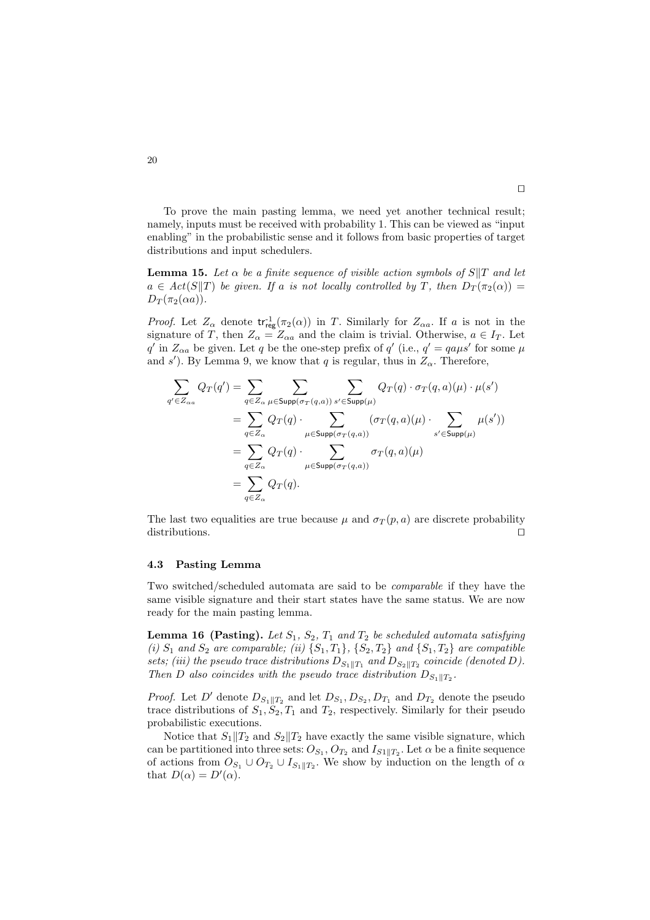To prove the main pasting lemma, we need yet another technical result; namely, inputs must be received with probability 1. This can be viewed as "input enabling" in the probabilistic sense and it follows from basic properties of target distributions and input schedulers.

**Lemma 15.** Let  $\alpha$  be a finite sequence of visible action symbols of S||T and let  $a \in \text{Act}(S||T)$  be given. If a is not locally controlled by T, then  $D_T(\pi_2(\alpha)) =$  $D_T(\pi_2(\alpha a)).$ 

*Proof.* Let  $Z_{\alpha}$  denote  $tr_{reg}^{-1}(\pi_2(\alpha))$  in T. Similarly for  $Z_{\alpha a}$ . If a is not in the signature of T, then  $Z_{\alpha} = Z_{\alpha a}$  and the claim is trivial. Otherwise,  $a \in I_T$ . Let q' in  $Z_{\alpha a}$  be given. Let q be the one-step prefix of q' (i.e.,  $q' = q a \mu s'$  for some  $\mu$ and s'). By Lemma 9, we know that q is regular, thus in  $Z_{\alpha}$ . Therefore,

$$
\sum_{q' \in Z_{\alpha a}} Q_T(q') = \sum_{q \in Z_{\alpha}} \sum_{\mu \in \text{Supp}(\sigma_T(q, a))} \sum_{s' \in \text{Supp}(\mu)} Q_T(q) \cdot \sigma_T(q, a)(\mu) \cdot \mu(s')
$$
\n
$$
= \sum_{q \in Z_{\alpha}} Q_T(q) \cdot \sum_{\mu \in \text{Supp}(\sigma_T(q, a))} (\sigma_T(q, a)(\mu) \cdot \sum_{s' \in \text{Supp}(\mu)} \mu(s'))
$$
\n
$$
= \sum_{q \in Z_{\alpha}} Q_T(q) \cdot \sum_{\mu \in \text{Supp}(\sigma_T(q, a))} \sigma_T(q, a)(\mu)
$$
\n
$$
= \sum_{q \in Z_{\alpha}} Q_T(q).
$$

The last two equalities are true because  $\mu$  and  $\sigma_T(p, a)$  are discrete probability distributions. ⊓⊔

#### 4.3 Pasting Lemma

Two switched/scheduled automata are said to be comparable if they have the same visible signature and their start states have the same status. We are now ready for the main pasting lemma.

**Lemma 16 (Pasting).** Let  $S_1$ ,  $S_2$ ,  $T_1$  and  $T_2$  be scheduled automata satisfying (i)  $S_1$  and  $S_2$  are comparable; (ii)  $\{S_1, T_1\}$ ,  $\{S_2, T_2\}$  and  $\{S_1, T_2\}$  are compatible sets; (iii) the pseudo trace distributions  $D_{S_1||T_1}$  and  $D_{S_2||T_2}$  coincide (denoted D). Then D also coincides with the pseudo trace distribution  $D_{S_1||T_2}$ .

*Proof.* Let D' denote  $D_{S_1||T_2}$  and let  $D_{S_1}, D_{S_2}, D_{T_1}$  and  $D_{T_2}$  denote the pseudo trace distributions of  $S_1, S_2, T_1$  and  $T_2$ , respectively. Similarly for their pseudo probabilistic executions.

Notice that  $S_1||T_2$  and  $S_2||T_2$  have exactly the same visible signature, which can be partitioned into three sets:  $O_{S_1}$ ,  $O_{T_2}$  and  $I_{S_1||T_2}$ . Let  $\alpha$  be a finite sequence of actions from  $O_{S_1} \cup O_{T_2} \cup I_{S_1 \| T_2}$ . We show by induction on the length of  $\alpha$ that  $D(\alpha) = D'(\alpha)$ .

⊓⊔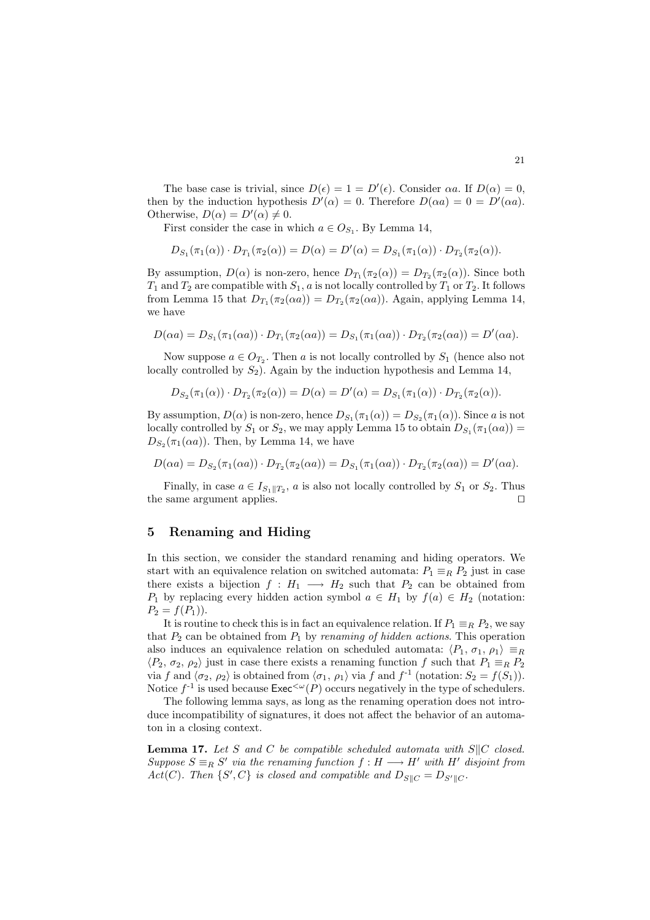The base case is trivial, since  $D(\epsilon) = 1 = D'(\epsilon)$ . Consider  $\alpha a$ . If  $D(\alpha) = 0$ , then by the induction hypothesis  $D'(\alpha) = 0$ . Therefore  $D(\alpha a) = 0 = D'(\alpha a)$ . Otherwise,  $D(\alpha) = D'(\alpha) \neq 0$ .

First consider the case in which  $a \in O_{S_1}$ . By Lemma 14,

$$
D_{S_1}(\pi_1(\alpha)) \cdot D_{T_1}(\pi_2(\alpha)) = D(\alpha) = D'(\alpha) = D_{S_1}(\pi_1(\alpha)) \cdot D_{T_2}(\pi_2(\alpha)).
$$

By assumption,  $D(\alpha)$  is non-zero, hence  $D_{T_1}(\pi_2(\alpha)) = D_{T_2}(\pi_2(\alpha))$ . Since both  $T_1$  and  $T_2$  are compatible with  $S_1$ , a is not locally controlled by  $T_1$  or  $T_2$ . It follows from Lemma 15 that  $D_{T_1}(\pi_2(\alpha a)) = D_{T_2}(\pi_2(\alpha a))$ . Again, applying Lemma 14, we have

$$
D(\alpha a) = D_{S_1}(\pi_1(\alpha a)) \cdot D_{T_1}(\pi_2(\alpha a)) = D_{S_1}(\pi_1(\alpha a)) \cdot D_{T_2}(\pi_2(\alpha a)) = D'(\alpha a).
$$

Now suppose  $a \in O_{T_2}$ . Then a is not locally controlled by  $S_1$  (hence also not locally controlled by  $S_2$ ). Again by the induction hypothesis and Lemma 14,

$$
D_{S_2}(\pi_1(\alpha)) \cdot D_{T_2}(\pi_2(\alpha)) = D(\alpha) = D'(\alpha) = D_{S_1}(\pi_1(\alpha)) \cdot D_{T_2}(\pi_2(\alpha)).
$$

By assumption,  $D(\alpha)$  is non-zero, hence  $D_{S_1}(\pi_1(\alpha)) = D_{S_2}(\pi_1(\alpha))$ . Since a is not locally controlled by  $S_1$  or  $S_2$ , we may apply Lemma 15 to obtain  $D_{S_1}(\pi_1(\alpha a)) =$  $D_{S_2}(\pi_1(\alpha a))$ . Then, by Lemma 14, we have

$$
D(\alpha a) = D_{S_2}(\pi_1(\alpha a)) \cdot D_{T_2}(\pi_2(\alpha a)) = D_{S_1}(\pi_1(\alpha a)) \cdot D_{T_2}(\pi_2(\alpha a)) = D'(\alpha a).
$$

Finally, in case  $a \in I_{S_1||T_2}$ , a is also not locally controlled by  $S_1$  or  $S_2$ . Thus the same argument applies.

#### 5 Renaming and Hiding

In this section, we consider the standard renaming and hiding operators. We start with an equivalence relation on switched automata:  $P_1 \equiv_R P_2$  just in case there exists a bijection  $f : H_1 \longrightarrow H_2$  such that  $P_2$  can be obtained from P<sub>1</sub> by replacing every hidden action symbol  $a \in H_1$  by  $f(a) \in H_2$  (notation:  $P_2 = f(P_1)$ .

It is routine to check this is in fact an equivalence relation. If  $P_1 \equiv_R P_2$ , we say that  $P_2$  can be obtained from  $P_1$  by renaming of hidden actions. This operation also induces an equivalence relation on scheduled automata:  $\langle P_1, \sigma_1, \rho_1 \rangle \equiv_R$  $\langle P_2, \sigma_2, \rho_2 \rangle$  just in case there exists a renaming function f such that  $P_1 \equiv_R P_2$ via f and  $\langle \sigma_2, \rho_2 \rangle$  is obtained from  $\langle \sigma_1, \rho_1 \rangle$  via f and  $f^{-1}$  (notation:  $S_2 = f(S_1)$ ). Notice  $f^{-1}$  is used because  $\mathsf{Exec}^{<\omega}(P)$  occurs negatively in the type of schedulers.

The following lemma says, as long as the renaming operation does not introduce incompatibility of signatures, it does not affect the behavior of an automaton in a closing context.

**Lemma 17.** Let S and C be compatible scheduled automata with  $S||C$  closed. Suppose  $S \equiv_R S'$  via the renaming function  $f : H \longrightarrow H'$  with  $H'$  disjoint from Act(C). Then  $\{S', C\}$  is closed and compatible and  $D_{S||C} = D_{S'||C}$ .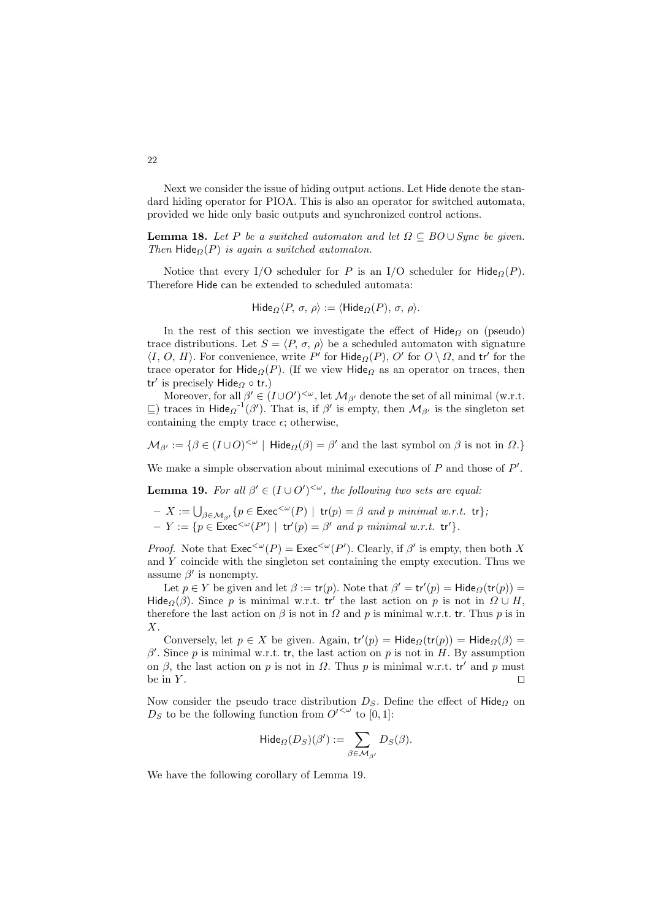Next we consider the issue of hiding output actions. Let Hide denote the standard hiding operator for PIOA. This is also an operator for switched automata, provided we hide only basic outputs and synchronized control actions.

**Lemma 18.** Let P be a switched automaton and let  $\Omega \subseteq BO \cup Sync$  be given. Then  $\text{Hide}_{\Omega}(P)$  is again a switched automaton.

Notice that every I/O scheduler for P is an I/O scheduler for  $\text{Hide}_{\Omega}(P)$ . Therefore Hide can be extended to scheduled automata:

$$
\mathsf{Hide}_{\Omega}\langle P,\,\sigma,\,\rho\rangle:=\langle\mathsf{Hide}_{\Omega}(P),\,\sigma,\,\rho\rangle.
$$

In the rest of this section we investigate the effect of  $Hide<sub>Q</sub>$  on (pseudo) trace distributions. Let  $S = \langle P, \sigma, \rho \rangle$  be a scheduled automaton with signature  $\langle I, O, H \rangle$ . For convenience, write P' for Hide<sub> $\Omega$ </sub>(P), O' for  $O \setminus \Omega$ , and tr' for the trace operator for Hide $_{\Omega}(P)$ . (If we view Hide<sub> $\Omega$ </sub> as an operator on traces, then tr' is precisely  $\mathsf{Hide}_\Omega \circ \mathsf{tr}$ .)

Moreover, for all  $\beta' \in (I \cup O')^{\langle \omega \rangle}$ , let  $\mathcal{M}_{\beta'}$  denote the set of all minimal (w.r.t.  $\subseteq$ ) traces in Hide<sub>Ω</sub><sup>-1</sup>( $\beta'$ ). That is, if  $\beta'$  is empty, then  $\mathcal{M}_{\beta'}$  is the singleton set containing the empty trace  $\epsilon$ ; otherwise,

$$
\mathcal{M}_{\beta'} := \{ \beta \in (I \cup O)^{<\omega} \mid \text{Hide}_{\Omega}(\beta) = \beta' \text{ and the last symbol on } \beta \text{ is not in } \Omega \}
$$

We make a simple observation about minimal executions of  $P$  and those of  $P'$ .

**Lemma 19.** For all  $\beta' \in (I \cup O')^{<\omega}$ , the following two sets are equal:

$$
- X := \bigcup_{\beta \in \mathcal{M}_{\beta'}} \{ p \in \text{Exec}^{<\omega}(P) \mid \text{tr}(p) = \beta \text{ and } p \text{ minimal } w.r.t. \text{ tr} \};
$$
  

$$
- Y := \{ p \in \text{Exec}^{<\omega}(P') \mid \text{tr}'(p) = \beta' \text{ and } p \text{ minimal } w.r.t. \text{ tr}' \}.
$$

*Proof.* Note that  $\text{Exec}^{<\omega}(P) = \text{Exec}^{<\omega}(P')$ . Clearly, if  $\beta'$  is empty, then both X and  $Y$  coincide with the singleton set containing the empty execution. Thus we assume  $\beta'$  is nonempty.

Let  $p \in Y$  be given and let  $\beta := \mathsf{tr}(p)$ . Note that  $\beta' = \mathsf{tr}'(p) = \mathsf{Hide}_{\Omega}(\mathsf{tr}(p)) =$ Hide<sub> $\Omega$ </sub>( $\beta$ ). Since p is minimal w.r.t. tr' the last action on p is not in  $\Omega \cup H$ , therefore the last action on  $\beta$  is not in  $\Omega$  and  $p$  is minimal w.r.t. tr. Thus  $p$  is in  $X$ .

Conversely, let  $p \in X$  be given. Again,  $tr'(p) = Hide_{\Omega}(tr(p)) = Hide_{\Omega}(\beta) =$  $\beta'$ . Since p is minimal w.r.t. tr, the last action on p is not in H. By assumption on  $\beta$ , the last action on p is not in  $\Omega$ . Thus p is minimal w.r.t. tr' and p must be in Y.

Now consider the pseudo trace distribution  $D<sub>S</sub>$ . Define the effect of Hide<sub>Q</sub> on  $D<sub>S</sub>$  to be the following function from  $O<sup>{\sim} \omega</sup>$  to [0, 1]:

$$
\mathrm{Hide}_\varOmega(D_S)(\beta'):=\sum_{\beta\in\mathcal{M}_{\beta'}}D_S(\beta).
$$

We have the following corollary of Lemma 19.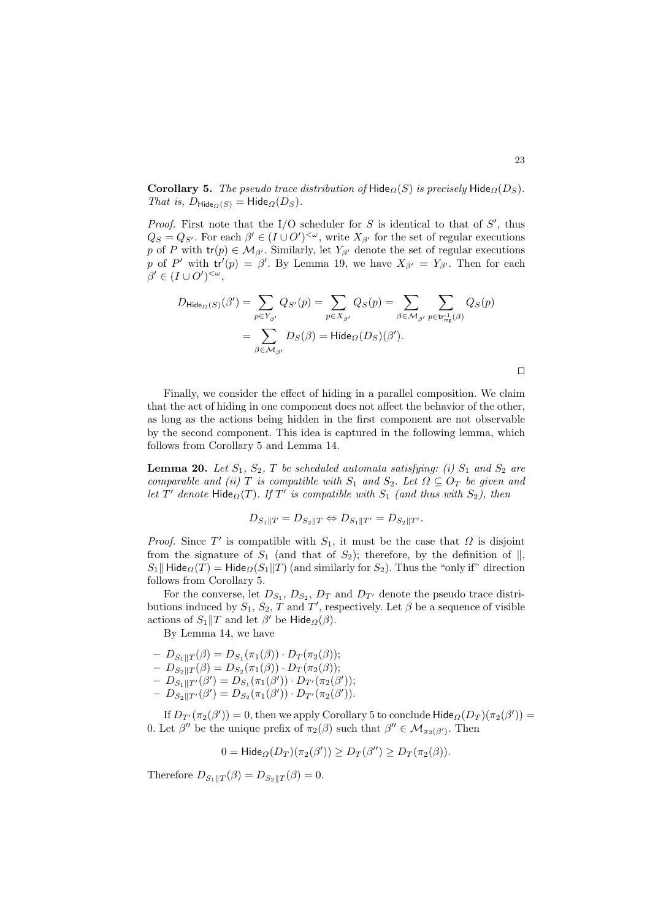**Corollary 5.** The pseudo trace distribution of Hide $_{\Omega}(S)$  is precisely Hide $_{\Omega}(D_S)$ . That is,  $D_{\text{Hide}_{\Omega}(S)} = \text{Hide}_{\Omega}(D_S)$ .

*Proof.* First note that the I/O scheduler for S is identical to that of  $S'$ , thus  $Q_S = Q_{S'}$ . For each  $\beta' \in (I \cup O')^{<\omega}$ , write  $X_{\beta'}$  for the set of regular executions p of P with  $tr(p) \in \mathcal{M}_{\beta'}$ . Similarly, let  $Y_{\beta'}$  denote the set of regular executions p of P' with  $tr'(p) = \beta'$ . By Lemma 19, we have  $X_{\beta'} = Y_{\beta'}$ . Then for each  $\beta' \in (I \cup O')^{<\omega},$ 

$$
D_{\text{Hide}_{\Omega}(S)}(\beta') = \sum_{p \in Y_{\beta'}} Q_{S'}(p) = \sum_{p \in X_{\beta'}} Q_S(p) = \sum_{\beta \in \mathcal{M}_{\beta'}} \sum_{p \in \text{tr}_{\text{reg}}^{-1}(\beta)} Q_S(p)
$$

$$
= \sum_{\beta \in \mathcal{M}_{\beta'}} D_S(\beta) = \text{Hide}_{\Omega}(D_S)(\beta').
$$

Finally, we consider the effect of hiding in a parallel composition. We claim that the act of hiding in one component does not affect the behavior of the other, as long as the actions being hidden in the first component are not observable by the second component. This idea is captured in the following lemma, which follows from Corollary 5 and Lemma 14.

**Lemma 20.** Let  $S_1$ ,  $S_2$ , T be scheduled automata satisfying: (i)  $S_1$  and  $S_2$  are comparable and (ii) T is compatible with  $S_1$  and  $S_2$ . Let  $\Omega \subseteq O_T$  be given and let T' denote  $\text{Hide}_{\Omega}(T)$ . If T' is compatible with  $S_1$  (and thus with  $S_2$ ), then

$$
D_{S_1||T} = D_{S_2||T} \Leftrightarrow D_{S_1||T'} = D_{S_2||T'}.
$$

*Proof.* Since T' is compatible with  $S_1$ , it must be the case that  $\Omega$  is disjoint from the signature of  $S_1$  (and that of  $S_2$ ); therefore, by the definition of  $\parallel$ ,  $S_1$ || Hide $\varOmega(T) = H$ ide $\varOmega(S_1||T)$  (and similarly for  $S_2$ ). Thus the "only if" direction follows from Corollary 5.

For the converse, let  $D_{S_1}, D_{S_2}, D_T$  and  $D_{T'}$  denote the pseudo trace distributions induced by  $S_1, S_2, T$  and  $T'$ , respectively. Let  $\beta$  be a sequence of visible actions of  $S_1||T$  and let  $\beta'$  be Hide $_{\Omega}(\beta)$ .

By Lemma 14, we have

 $-D_{S_1||T}(\beta) = D_{S_1}(\pi_1(\beta)) \cdot D_T(\pi_2(\beta));$  $-D_{S_2||T}(\beta) = D_{S_2}(\pi_1(\beta)) \cdot D_T(\pi_2(\beta));$  $-D_{S_1||T'}(\beta')=D_{S_1}(\pi_1(\beta'))\cdot D_{T'}(\pi_2(\beta'));$  $-D_{S_2||T'}(\beta')=D_{S_2}(\pi_1(\beta'))\cdot D_{T'}(\pi_2(\beta')).$ 

If  $D_{T'}(\pi_2(\beta')) = 0$ , then we apply Corollary 5 to conclude  $\mathsf{Hide}_\Omega(D_T)(\pi_2(\beta')) = 0$ 0. Let  $\beta''$  be the unique prefix of  $\pi_2(\beta)$  such that  $\beta'' \in \mathcal{M}_{\pi_2(\beta')}$ . Then

$$
0 = \text{Hide}_{\Omega}(D_T)(\pi_2(\beta')) \ge D_T(\beta'') \ge D_T(\pi_2(\beta)).
$$

Therefore  $D_{S_1||T}(\beta) = D_{S_2||T}(\beta) = 0.$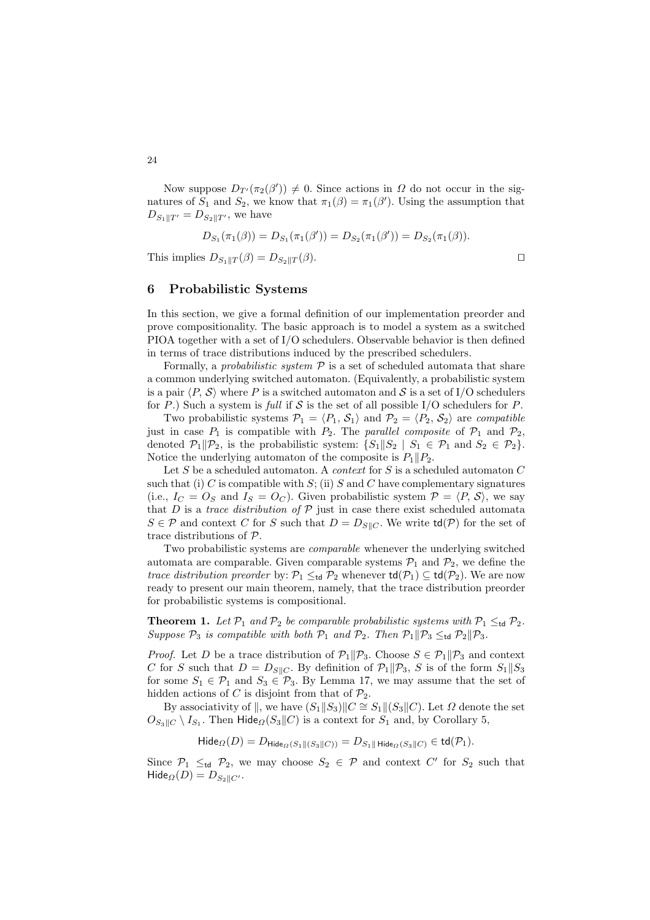Now suppose  $D_{T'}(\pi_2(\beta')) \neq 0$ . Since actions in  $\Omega$  do not occur in the signatures of  $S_1$  and  $S_2$ , we know that  $\pi_1(\beta) = \pi_1(\beta')$ . Using the assumption that  $D_{S_1||T'} = D_{S_2||T'}$ , we have

$$
D_{S_1}(\pi_1(\beta)) = D_{S_1}(\pi_1(\beta')) = D_{S_2}(\pi_1(\beta')) = D_{S_2}(\pi_1(\beta)).
$$

This implies  $D_{S_1||T}(\beta) = D_{S_2||T}(\beta)$ . □

## 6 Probabilistic Systems

In this section, we give a formal definition of our implementation preorder and prove compositionality. The basic approach is to model a system as a switched PIOA together with a set of I/O schedulers. Observable behavior is then defined in terms of trace distributions induced by the prescribed schedulers.

Formally, a *probabilistic system*  $P$  is a set of scheduled automata that share a common underlying switched automaton. (Equivalently, a probabilistic system is a pair  $\langle P, \mathcal{S} \rangle$  where P is a switched automaton and S is a set of I/O schedulers for P.) Such a system is full if S is the set of all possible I/O schedulers for P.

Two probabilistic systems  $\mathcal{P}_1 = \langle P_1, \mathcal{S}_1 \rangle$  and  $\mathcal{P}_2 = \langle P_2, \mathcal{S}_2 \rangle$  are compatible just in case  $P_1$  is compatible with  $P_2$ . The parallel composite of  $P_1$  and  $P_2$ , denoted  $\mathcal{P}_1 \| \mathcal{P}_2$ , is the probabilistic system:  $\{S_1 \| S_2 \mid S_1 \in \mathcal{P}_1 \text{ and } S_2 \in \mathcal{P}_2\}.$ Notice the underlying automaton of the composite is  $P_1||P_2$ .

Let S be a scheduled automaton. A *context* for S is a scheduled automaton  $C$ such that (i) C is compatible with  $S$ ; (ii) S and C have complementary signatures (i.e.,  $I_C = O_S$  and  $I_S = O_C$ ). Given probabilistic system  $P = \langle P, \mathcal{S} \rangle$ , we say that  $D$  is a trace distribution of  $\mathcal P$  just in case there exist scheduled automata  $S \in \mathcal{P}$  and context C for S such that  $D = D_{S||C}$ . We write  $td(\mathcal{P})$  for the set of trace distributions of P.

Two probabilistic systems are comparable whenever the underlying switched automata are comparable. Given comparable systems  $\mathcal{P}_1$  and  $\mathcal{P}_2$ , we define the trace distribution preorder by:  $\mathcal{P}_1 \leq_{\text{td}} \mathcal{P}_2$  whenever  $\text{td}(\mathcal{P}_1) \subseteq \text{td}(\mathcal{P}_2)$ . We are now ready to present our main theorem, namely, that the trace distribution preorder for probabilistic systems is compositional.

**Theorem 1.** Let  $\mathcal{P}_1$  and  $\mathcal{P}_2$  be comparable probabilistic systems with  $\mathcal{P}_1 \leq_{\text{td}} \mathcal{P}_2$ . Suppose  $P_3$  is compatible with both  $P_1$  and  $P_2$ . Then  $P_1||P_3 \leq_{\text{td}} P_2||P_3$ .

*Proof.* Let D be a trace distribution of  $\mathcal{P}_1 || \mathcal{P}_3$ . Choose  $S \in \mathcal{P}_1 || \mathcal{P}_3$  and context C for S such that  $D = D_{S||C}$ . By definition of  $\mathcal{P}_1||\mathcal{P}_3$ , S is of the form  $S_1||S_3$ for some  $S_1 \in \mathcal{P}_1$  and  $S_3 \in \mathcal{P}_3$ . By Lemma 17, we may assume that the set of hidden actions of C is disjoint from that of  $\mathcal{P}_2$ .

By associativity of  $\|$ , we have  $(S_1||S_3)||C \cong S_1||(S_3||C)$ . Let  $\Omega$  denote the set  $O_{S_3||C} \setminus I_{S_1}$ . Then Hide $\Omega(S_3||C)$  is a context for  $S_1$  and, by Corollary 5,

 $\text{Hide}_{\Omega}(D) = D_{\text{Hide}_{\Omega}(S_1|| (S_3||C))} = D_{S_1|| \text{ Hide}_{\Omega}(S_3||C)} \in \text{td}(\mathcal{P}_1).$ 

Since  $\mathcal{P}_1 \leq_{\text{td}} \mathcal{P}_2$ , we may choose  $S_2 \in \mathcal{P}$  and context C' for  $S_2$  such that Hide $_{\Omega}(D) = D_{S_2||C'}$ .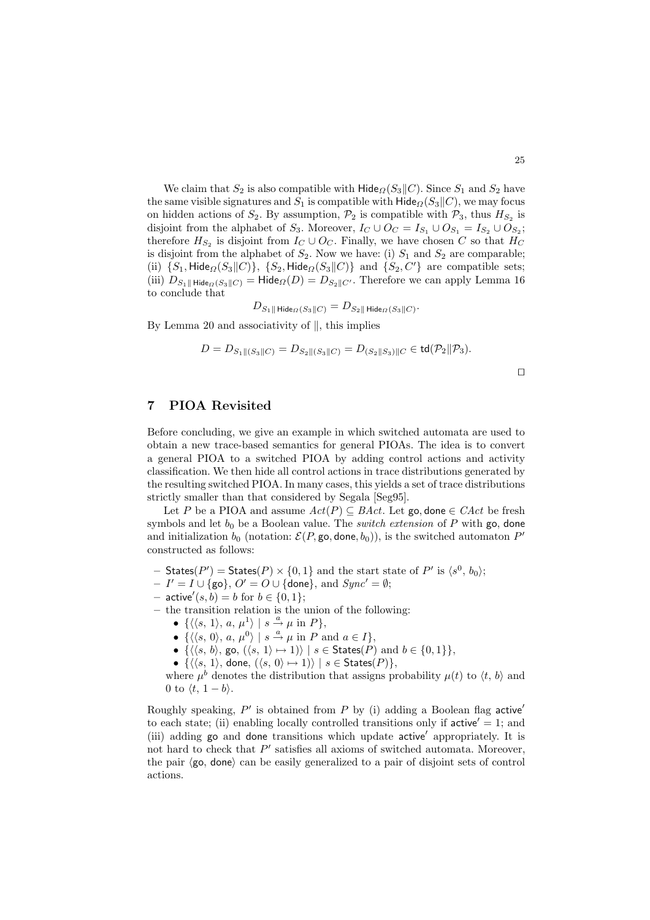We claim that  $S_2$  is also compatible with Hide $_{\Omega}(S_3||C)$ . Since  $S_1$  and  $S_2$  have the same visible signatures and  $S_1$  is compatible with Hide<sub>Q</sub>( $S_3||C$ ), we may focus on hidden actions of  $S_2$ . By assumption,  $\mathcal{P}_2$  is compatible with  $\mathcal{P}_3$ , thus  $H_{S_2}$  is disjoint from the alphabet of S<sub>3</sub>. Moreover,  $I_C \cup O_C = I_{S_1} \cup O_{S_1} = I_{S_2} \cup O_{S_2}$ ; therefore  $H_{S_2}$  is disjoint from  $I_C \cup O_C$ . Finally, we have chosen C so that  $H_C$ is disjoint from the alphabet of  $S_2$ . Now we have: (i)  $S_1$  and  $S_2$  are comparable; (ii)  $\{S_1, \text{Hide}_{\Omega}(S_3||C)\}, \{S_2, \text{Hide}_{\Omega}(S_3||C)\} \text{ and } \{S_2, C'\} \text{ are compatible sets};$ (iii)  $D_{S_1 \parallel \text{Hide}_{\Omega}(S_3 \parallel C)} = \text{Hide}_{\Omega}(D) = D_{S_2 \parallel C'}$ . Therefore we can apply Lemma 16 to conclude that

 $D_{S_1\,\parallel\, \textsf{Hide}_\varOmega(S_3\|C)} = D_{S_2\,\parallel\, \textsf{Hide}_\varOmega(S_3\|C)}.$ 

By Lemma 20 and associativity of  $\parallel$ , this implies

$$
D = D_{S_1||(S_3||C)} = D_{S_2||(S_3||C)} = D_{(S_2||S_3)||C} \in \text{td}(\mathcal{P}_2||\mathcal{P}_3).
$$

## 7 PIOA Revisited

Before concluding, we give an example in which switched automata are used to obtain a new trace-based semantics for general PIOAs. The idea is to convert a general PIOA to a switched PIOA by adding control actions and activity classification. We then hide all control actions in trace distributions generated by the resulting switched PIOA. In many cases, this yields a set of trace distributions strictly smaller than that considered by Segala [Seg95].

Let P be a PIOA and assume  $Act(P) \subseteq BAct$ . Let go, done  $\in$  CAct be fresh symbols and let  $b_0$  be a Boolean value. The *switch extension* of P with go, done and initialization  $b_0$  (notation:  $\mathcal{E}(P, \text{go}, \text{done}, b_0)$ ), is the switched automaton  $P'$ constructed as follows:

- States( $P'$ ) = States( $P$ ) × {0, 1} and the start state of  $P'$  is  $\langle s^0, b_0 \rangle$ ;
- $-I'=I\cup \{\textsf{go}\},\, O'=O\cup \{\textsf{done}\},\, \text{and}\, \textit{Sync}'=\emptyset;$
- $-$  active' $(s, b) = b$  for  $b \in \{0, 1\};$
- the transition relation is the union of the following:
	- $\{\langle \langle s, 1 \rangle, a, \mu^1 \rangle \mid s \stackrel{a}{\rightarrow} \mu \text{ in } P\},\$
	- $\{\langle \langle s, 0 \rangle, a, \mu^0 \rangle \mid s \stackrel{a}{\rightarrow} \mu \text{ in } P \text{ and } a \in I\},\$
	- $\{\langle \langle s, b \rangle, \text{go}, (\langle s, 1 \rangle \mapsto 1) \rangle \mid s \in \text{States}(P) \text{ and } b \in \{0, 1\}\},\$
	- $\{ \langle \langle s, 1 \rangle, \text{done}, (\langle s, 0 \rangle \mapsto 1) \rangle \mid s \in \text{States}(P) \},$

where  $\mu^b$  denotes the distribution that assigns probability  $\mu(t)$  to  $\langle t, b \rangle$  and 0 to  $\langle t, 1 - b \rangle$ .

Roughly speaking,  $P'$  is obtained from  $P$  by (i) adding a Boolean flag active' to each state; (ii) enabling locally controlled transitions only if active'  $= 1$ ; and (iii) adding go and done transitions which update active′ appropriately. It is not hard to check that  $P'$  satisfies all axioms of switched automata. Moreover, the pair  $\langle \text{go}, \text{done} \rangle$  can be easily generalized to a pair of disjoint sets of control actions.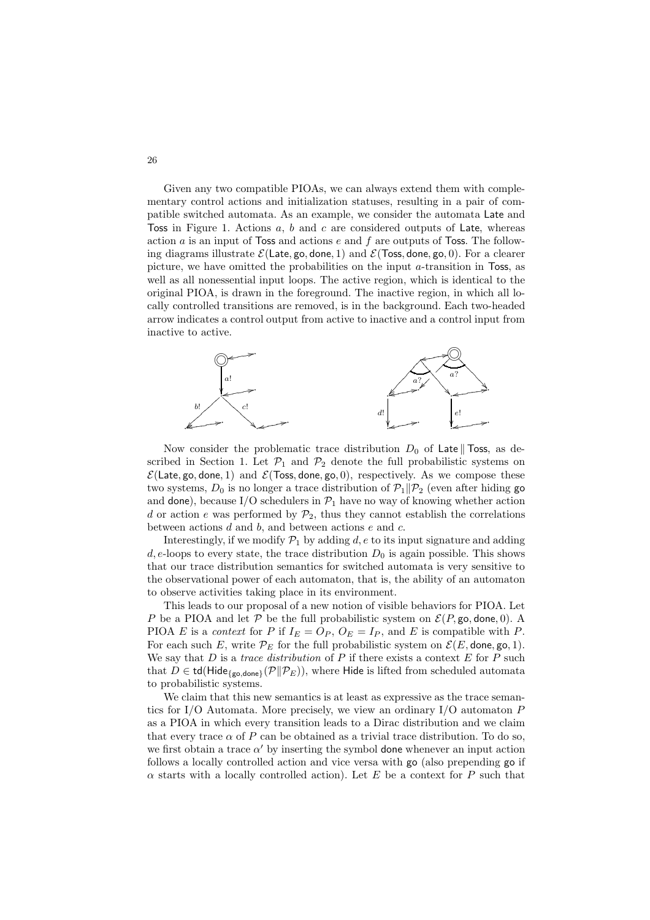Given any two compatible PIOAs, we can always extend them with complementary control actions and initialization statuses, resulting in a pair of compatible switched automata. As an example, we consider the automata Late and Toss in Figure 1. Actions  $a, b$  and  $c$  are considered outputs of Late, whereas action  $a$  is an input of Toss and actions  $e$  and  $f$  are outputs of Toss. The following diagrams illustrate  $\mathcal{E}$ (Late, go, done, 1) and  $\mathcal{E}$ (Toss, done, go, 0). For a clearer picture, we have omitted the probabilities on the input  $a$ -transition in Toss, as well as all nonessential input loops. The active region, which is identical to the original PIOA, is drawn in the foreground. The inactive region, in which all locally controlled transitions are removed, is in the background. Each two-headed arrow indicates a control output from active to inactive and a control input from inactive to active.



Now consider the problematic trace distribution  $D_0$  of Late || Toss, as described in Section 1. Let  $\mathcal{P}_1$  and  $\mathcal{P}_2$  denote the full probabilistic systems on  $\mathcal{E}$ (Late, go, done, 1) and  $\mathcal{E}$ (Toss, done, go, 0), respectively. As we compose these two systems,  $D_0$  is no longer a trace distribution of  $\mathcal{P}_1||\mathcal{P}_2$  (even after hiding go and done), because I/O schedulers in  $\mathcal{P}_1$  have no way of knowing whether action d or action e was performed by  $\mathcal{P}_2$ , thus they cannot establish the correlations between actions  $d$  and  $b$ , and between actions  $e$  and  $c$ .

Interestingly, if we modify  $P_1$  by adding d, e to its input signature and adding  $d, e$ -loops to every state, the trace distribution  $D_0$  is again possible. This shows that our trace distribution semantics for switched automata is very sensitive to the observational power of each automaton, that is, the ability of an automaton to observe activities taking place in its environment.

This leads to our proposal of a new notion of visible behaviors for PIOA. Let P be a PIOA and let P be the full probabilistic system on  $\mathcal{E}(P, \text{go}, \text{done}, 0)$ . PIOA E is a context for P if  $I_E = O_P$ ,  $O_E = I_P$ , and E is compatible with P. For each such E, write  $\mathcal{P}_E$  for the full probabilistic system on  $\mathcal{E}(E)$ , done, go, 1). We say that  $D$  is a trace distribution of  $P$  if there exists a context  $E$  for  $P$  such that  $D \in \text{td}(\text{Hide}_{\{\text{go},\text{done}\}}(\mathcal{P} \| \mathcal{P}_E))$ , where Hide is lifted from scheduled automata to probabilistic systems.

We claim that this new semantics is at least as expressive as the trace semantics for I/O Automata. More precisely, we view an ordinary I/O automaton P as a PIOA in which every transition leads to a Dirac distribution and we claim that every trace  $\alpha$  of P can be obtained as a trivial trace distribution. To do so, we first obtain a trace  $\alpha'$  by inserting the symbol done whenever an input action follows a locally controlled action and vice versa with go (also prepending go if  $\alpha$  starts with a locally controlled action). Let E be a context for P such that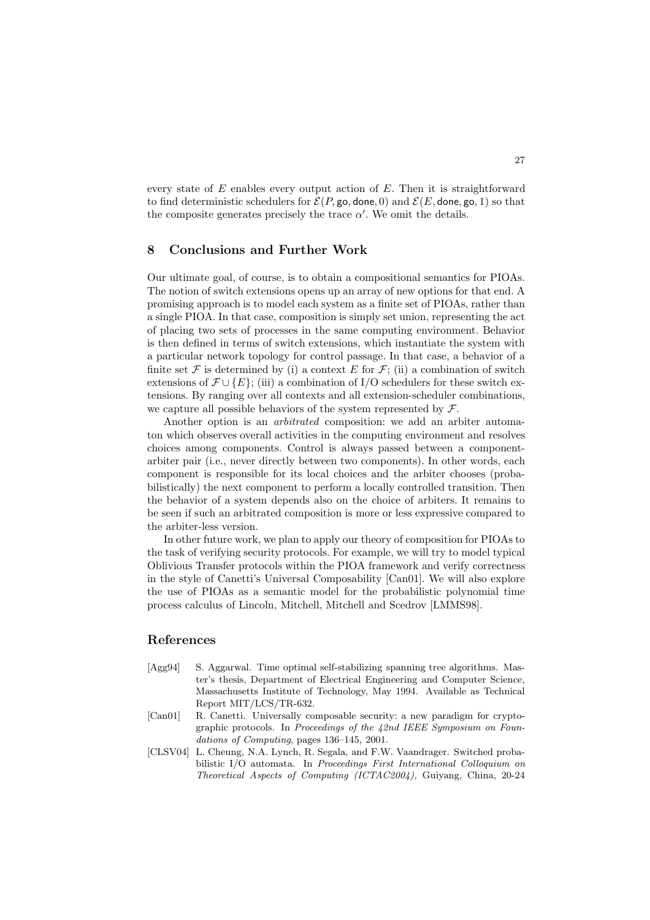every state of  $E$  enables every output action of  $E$ . Then it is straightforward to find deterministic schedulers for  $\mathcal{E}(P, \text{go}, \text{done}, 0)$  and  $\mathcal{E}(E, \text{done}, \text{go}, 1)$  so that the composite generates precisely the trace  $\alpha'$ . We omit the details.

## 8 Conclusions and Further Work

Our ultimate goal, of course, is to obtain a compositional semantics for PIOAs. The notion of switch extensions opens up an array of new options for that end. A promising approach is to model each system as a finite set of PIOAs, rather than a single PIOA. In that case, composition is simply set union, representing the act of placing two sets of processes in the same computing environment. Behavior is then defined in terms of switch extensions, which instantiate the system with a particular network topology for control passage. In that case, a behavior of a finite set  $\mathcal F$  is determined by (i) a context E for  $\mathcal F$ ; (ii) a combination of switch extensions of  $\mathcal{F} \cup \{E\}$ ; (iii) a combination of I/O schedulers for these switch extensions. By ranging over all contexts and all extension-scheduler combinations, we capture all possible behaviors of the system represented by  $\mathcal{F}$ .

Another option is an arbitrated composition: we add an arbiter automaton which observes overall activities in the computing environment and resolves choices among components. Control is always passed between a componentarbiter pair (i.e., never directly between two components). In other words, each component is responsible for its local choices and the arbiter chooses (probabilistically) the next component to perform a locally controlled transition. Then the behavior of a system depends also on the choice of arbiters. It remains to be seen if such an arbitrated composition is more or less expressive compared to the arbiter-less version.

In other future work, we plan to apply our theory of composition for PIOAs to the task of verifying security protocols. For example, we will try to model typical Oblivious Transfer protocols within the PIOA framework and verify correctness in the style of Canetti's Universal Composability [Can01]. We will also explore the use of PIOAs as a semantic model for the probabilistic polynomial time process calculus of Lincoln, Mitchell, Mitchell and Scedrov [LMMS98].

## References

- [Agg94] S. Aggarwal. Time optimal self-stabilizing spanning tree algorithms. Master's thesis, Department of Electrical Engineering and Computer Science, Massachusetts Institute of Technology, May 1994. Available as Technical Report MIT/LCS/TR-632.
- [Can01] R. Canetti. Universally composable security: a new paradigm for cryptographic protocols. In Proceedings of the 42nd IEEE Symposium on Foundations of Computing, pages 136–145, 2001.
- [CLSV04] L. Cheung, N.A. Lynch, R. Segala, and F.W. Vaandrager. Switched probabilistic I/O automata. In Proceedings First International Colloquium on Theoretical Aspects of Computing (ICTAC2004), Guiyang, China, 20-24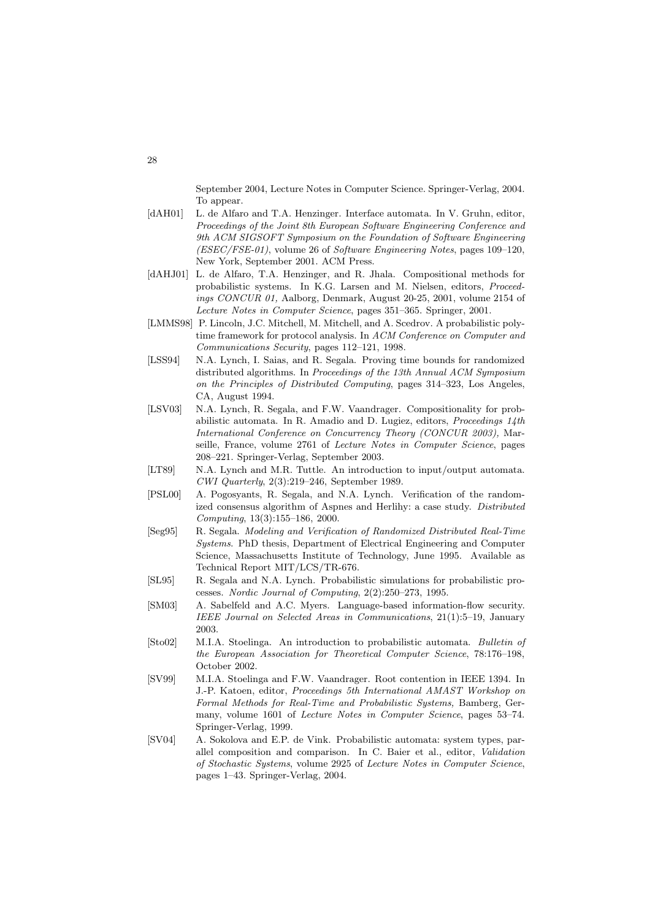September 2004, Lecture Notes in Computer Science. Springer-Verlag, 2004. To appear.

- [dAH01] L. de Alfaro and T.A. Henzinger. Interface automata. In V. Gruhn, editor, Proceedings of the Joint 8th European Software Engineering Conference and 9th ACM SIGSOFT Symposium on the Foundation of Software Engineering (ESEC/FSE-01), volume 26 of Software Engineering Notes, pages 109–120, New York, September 2001. ACM Press.
- [dAHJ01] L. de Alfaro, T.A. Henzinger, and R. Jhala. Compositional methods for probabilistic systems. In K.G. Larsen and M. Nielsen, editors, Proceedings CONCUR 01, Aalborg, Denmark, August 20-25, 2001, volume 2154 of Lecture Notes in Computer Science, pages 351–365. Springer, 2001.
- [LMMS98] P. Lincoln, J.C. Mitchell, M. Mitchell, and A. Scedrov. A probabilistic polytime framework for protocol analysis. In ACM Conference on Computer and Communications Security, pages 112–121, 1998.
- [LSS94] N.A. Lynch, I. Saias, and R. Segala. Proving time bounds for randomized distributed algorithms. In Proceedings of the 13th Annual ACM Symposium on the Principles of Distributed Computing, pages 314–323, Los Angeles, CA, August 1994.
- [LSV03] N.A. Lynch, R. Segala, and F.W. Vaandrager. Compositionality for probabilistic automata. In R. Amadio and D. Lugiez, editors, Proceedings 14th International Conference on Concurrency Theory (CONCUR 2003), Marseille, France, volume 2761 of Lecture Notes in Computer Science, pages 208–221. Springer-Verlag, September 2003.
- [LT89] N.A. Lynch and M.R. Tuttle. An introduction to input/output automata. CWI Quarterly, 2(3):219–246, September 1989.
- [PSL00] A. Pogosyants, R. Segala, and N.A. Lynch. Verification of the randomized consensus algorithm of Aspnes and Herlihy: a case study. Distributed Computing, 13(3):155–186, 2000.
- [Seg95] R. Segala. Modeling and Verification of Randomized Distributed Real-Time Systems. PhD thesis, Department of Electrical Engineering and Computer Science, Massachusetts Institute of Technology, June 1995. Available as Technical Report MIT/LCS/TR-676.
- [SL95] R. Segala and N.A. Lynch. Probabilistic simulations for probabilistic processes. Nordic Journal of Computing, 2(2):250–273, 1995.
- [SM03] A. Sabelfeld and A.C. Myers. Language-based information-flow security. IEEE Journal on Selected Areas in Communications, 21(1):5–19, January 2003.
- [Sto02] M.I.A. Stoelinga. An introduction to probabilistic automata. Bulletin of the European Association for Theoretical Computer Science, 78:176–198, October 2002.
- [SV99] M.I.A. Stoelinga and F.W. Vaandrager. Root contention in IEEE 1394. In J.-P. Katoen, editor, Proceedings 5th International AMAST Workshop on Formal Methods for Real-Time and Probabilistic Systems, Bamberg, Germany, volume 1601 of *Lecture Notes in Computer Science*, pages 53–74. Springer-Verlag, 1999.
- [SV04] A. Sokolova and E.P. de Vink. Probabilistic automata: system types, parallel composition and comparison. In C. Baier et al., editor, Validation of Stochastic Systems, volume 2925 of Lecture Notes in Computer Science, pages 1–43. Springer-Verlag, 2004.